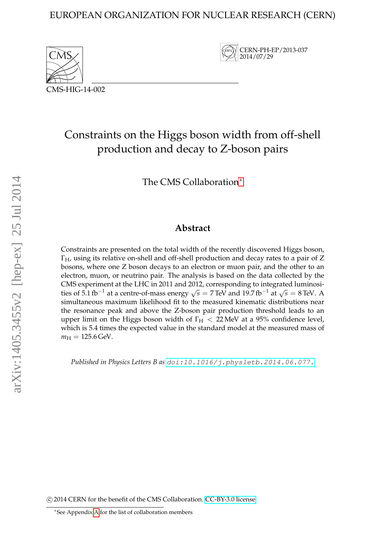# EUROPEAN ORGANIZATION FOR NUCLEAR RESEARCH (CERN)





# Constraints on the Higgs boson width from off-shell production and decay to Z-boson pairs

The CMS Collaboration[∗](#page-0-0)

## **Abstract**

Constraints are presented on the total width of the recently discovered Higgs boson,  $\Gamma_{\rm H}$ , using its relative on-shell and off-shell production and decay rates to a pair of Z bosons, where one Z boson decays to an electron or muon pair, and the other to an electron, muon, or neutrino pair. The analysis is based on the data collected by the CMS experiment at the LHC in 2011 and 2012, corresponding to integrated luminosities of 5.1 fb<sup>−1</sup> at a centre-of-mass energy  $\sqrt{s}$  = 7 TeV and 19.7 fb<sup>−1</sup> at  $\sqrt{s}$  = 8 TeV. A simultaneous maximum likelihood fit to the measured kinematic distributions near the resonance peak and above the Z-boson pair production threshold leads to an upper limit on the Higgs boson width of  $\Gamma_{\rm H}$  < 22 MeV at a 95% confidence level, which is 5.4 times the expected value in the standard model at the measured mass of  $m_{\rm H} = 125.6$  GeV.

*Published in Physics Letters B as* [doi:10.1016/j.physletb.2014.06.077.](http://dx.doi.org/10.1016/j.physletb.2014.06.077)

c 2014 CERN for the benefit of the CMS Collaboration. [CC-BY-3.0 license](http://creativecommons.org/licenses/by/3.0)

<span id="page-0-0"></span><sup>∗</sup>See Appendix [A](#page-16-0) for the list of collaboration members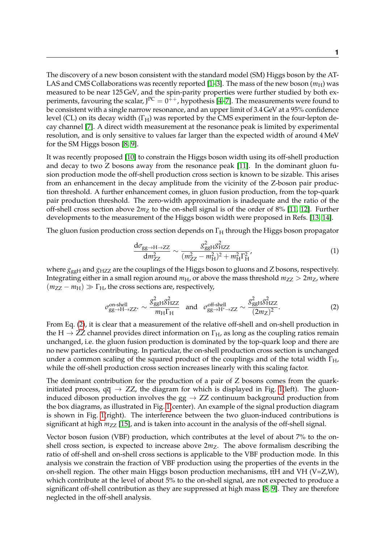The discovery of a new boson consistent with the standard model (SM) Higgs boson by the AT-LAS and CMS Collaborations was recently reported [\[1–](#page-11-0)[3\]](#page-12-0). The mass of the new boson  $(m_H)$  was measured to be near 125 GeV, and the spin-parity properties were further studied by both experiments, favouring the scalar, J $^{PC}=0^{++}$ , hypothesis [\[4–](#page-12-1)[7\]](#page-12-2). The measurements were found to be consistent with a single narrow resonance, and an upper limit of 3.4 GeV at a 95% confidence level (CL) on its decay width  $(\Gamma_H)$  was reported by the CMS experiment in the four-lepton decay channel [\[7\]](#page-12-2). A direct width measurement at the resonance peak is limited by experimental resolution, and is only sensitive to values far larger than the expected width of around 4 MeV for the SM Higgs boson [\[8,](#page-12-3) [9\]](#page-12-4).

It was recently proposed [\[10\]](#page-12-5) to constrain the Higgs boson width using its off-shell production and decay to two Z bosons away from the resonance peak [\[11\]](#page-12-6). In the dominant gluon fusion production mode the off-shell production cross section is known to be sizable. This arises from an enhancement in the decay amplitude from the vicinity of the Z-boson pair production threshold. A further enhancement comes, in gluon fusion production, from the top-quark pair production threshold. The zero-width approximation is inadequate and the ratio of the off-shell cross section above  $2m<sub>Z</sub>$  to the on-shell signal is of the order of 8% [\[11,](#page-12-6) [12\]](#page-12-7). Further developments to the measurement of the Higgs boson width were proposed in Refs. [\[13,](#page-12-8) [14\]](#page-12-9).

The gluon fusion production cross section depends on  $\Gamma_H$  through the Higgs boson propagator

$$
\frac{d\sigma_{gg \to H \to ZZ}}{dm_{ZZ}^2} \sim \frac{g_{gg}^2 H g_{HZZ}^2}{(m_{ZZ}^2 - m_H^2)^2 + m_H^2 \Gamma_H^2},
$$
(1)

where  $g_{ggH}$  and  $g_{HZZ}$  are the couplings of the Higgs boson to gluons and Z bosons, respectively. Integrating either in a small region around  $m_H$ , or above the mass threshold  $m_{ZZ} > 2m_Z$ , where  $(m_{ZZ} - m_H) \gg \Gamma_H$ , the cross sections are, respectively,

<span id="page-2-0"></span>
$$
\sigma_{gg \to H \to ZZ^*}^{\text{on-shell}} \sim \frac{g_{gg}^2 H g_{HZZ}^2}{m_H \Gamma_H} \quad \text{and} \quad \sigma_{gg \to H^* \to ZZ}^{\text{off-shell}} \sim \frac{g_{ggH}^2 g_{HZZ}^2}{(2m_Z)^2}.
$$
 (2)

From Eq. [\(2\)](#page-2-0), it is clear that a measurement of the relative off-shell and on-shell production in the H  $\rightarrow$  ZZ channel provides direct information on  $\Gamma_H$ , as long as the coupling ratios remain unchanged, i.e. the gluon fusion production is dominated by the top-quark loop and there are no new particles contributing. In particular, the on-shell production cross section is unchanged under a common scaling of the squared product of the couplings and of the total width  $\Gamma_{\text{H}_1}$ , while the off-shell production cross section increases linearly with this scaling factor.

The dominant contribution for the production of a pair of Z bosons comes from the quarkinitiated process,  $q\bar{q} \rightarrow ZZ$ , the diagram for which is displayed in Fig. [1\(](#page-3-0)left). The gluoninduced diboson production involves the  $gg \rightarrow ZZ$  continuum background production from the box diagrams, as illustrated in Fig. [1\(](#page-3-0)center). An example of the signal production diagram is shown in Fig. [1\(](#page-3-0)right). The interference between the two gluon-induced contributions is significant at high  $m_{ZZ}$  [\[15\]](#page-12-10), and is taken into account in the analysis of the off-shell signal.

Vector boson fusion (VBF) production, which contributes at the level of about 7% to the onshell cross section, is expected to increase above  $2m_Z$ . The above formalism describing the ratio of off-shell and on-shell cross sections is applicable to the VBF production mode. In this analysis we constrain the fraction of VBF production using the properties of the events in the on-shell region. The other main Higgs boson production mechanisms,  $t\bar{t}H$  and VH (V=Z,W), which contribute at the level of about 5% to the on-shell signal, are not expected to produce a significant off-shell contribution as they are suppressed at high mass [\[8,](#page-12-3) [9\]](#page-12-4). They are therefore neglected in the off-shell analysis.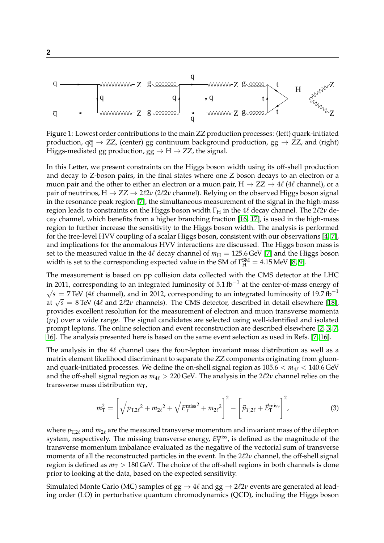<span id="page-3-0"></span>

Figure 1: Lowest order contributions to the main ZZ production processes: (left) quark-initiated production,  $q\bar{q} \rightarrow ZZ$ , (center) gg continuum background production, gg  $\rightarrow ZZ$ , and (right) Higgs-mediated gg production,  $gg \rightarrow H \rightarrow ZZ$ , the signal.

In this Letter, we present constraints on the Higgs boson width using its off-shell production and decay to Z-boson pairs, in the final states where one Z boson decays to an electron or a muon pair and the other to either an electron or a muon pair,  $H \rightarrow ZZ \rightarrow 4\ell$  (4 $\ell$  channel), or a pair of neutrinos,  $H \rightarrow ZZ \rightarrow 2\ell2\nu$  (2 $\ell2\nu$  channel). Relying on the observed Higgs boson signal in the resonance peak region [\[7\]](#page-12-2), the simultaneous measurement of the signal in the high-mass region leads to constraints on the Higgs boson width Γ<sub>H</sub> in the 4 $\ell$  decay channel. The 2 $\ell$ 2*ν* decay channel, which benefits from a higher branching fraction [\[16,](#page-13-0) [17\]](#page-13-1), is used in the high-mass region to further increase the sensitivity to the Higgs boson width. The analysis is performed for the tree-level HVV coupling of a scalar Higgs boson, consistent with our observations [\[4,](#page-12-1) [7\]](#page-12-2), and implications for the anomalous HVV interactions are discussed. The Higgs boson mass is set to the measured value in the 4 $\ell$  decay channel of  $m_H = 125.6$  GeV [\[7\]](#page-12-2) and the Higgs boson width is set to the corresponding expected value in the SM of  $\Gamma_{\rm H}^{\rm SM} = 4.15$  MeV [\[8,](#page-12-3) [9\]](#page-12-4).

The measurement is based on pp collision data collected with the CMS detector at the LHC in 2011, corresponding to an integrated luminosity of 5.1 fb<sup>-1</sup> at the center-of-mass energy of  $\sqrt{7}$  $\sqrt{s}$  = 7 TeV (4 $\ell$  channel), and in 2012, corresponding to an integrated luminosity of 19.7 fb<sup>-1</sup>  $\sqrt{s}$  = 7 TeV (4*t* channel), and in 2012, corresponding to an integrated idminitionly of 19.7 Ib<br>at  $\sqrt{s}$  = 8 TeV (4*t* and 2*t*2*v* channels). The CMS detector, described in detail elsewhere [\[18\]](#page-13-2), provides excellent resolution for the measurement of electron and muon transverse momenta  $(p_T)$  over a wide range. The signal candidates are selected using well-identified and isolated prompt leptons. The online selection and event reconstruction are described elsewhere [\[2,](#page-12-11) [3,](#page-12-0) [7,](#page-12-2) [16\]](#page-13-0). The analysis presented here is based on the same event selection as used in Refs. [\[7,](#page-12-2) [16\]](#page-13-0).

The analysis in the  $4\ell$  channel uses the four-lepton invariant mass distribution as well as a matrix element likelihood discriminant to separate the ZZ components originating from gluonand quark-initiated processes. We define the on-shell signal region as  $105.6 < m_{4\ell} < 140.6$  GeV and the off-shell signal region as  $m_{4\ell} > 220$  GeV. The analysis in the  $2\ell 2\nu$  channel relies on the transverse mass distribution  $m<sub>T</sub>$ ,

$$
m_{\rm T}^2 = \left[ \sqrt{p_{\rm T, 2\ell}^2 + m_{2\ell}^2} + \sqrt{E_{\rm T}^{\rm miss}^2 + m_{2\ell}^2} \right]^2 - \left[ \vec{p}_{\rm T, 2\ell} + \vec{E}_{\rm T}^{\rm miss} \right]^2, \tag{3}
$$

where  $p_{T,2\ell}$  and  $m_{2\ell}$  are the measured transverse momentum and invariant mass of the dilepton system, respectively. The missing transverse energy,  $E_{\text{T}}^{\text{miss}}$ , is defined as the magnitude of the transverse momentum imbalance evaluated as the negative of the vectorial sum of transverse momenta of all the reconstructed particles in the event. In the  $2\ell2\nu$  channel, the off-shell signal region is defined as  $m<sub>T</sub> > 180$  GeV. The choice of the off-shell regions in both channels is done prior to looking at the data, based on the expected sensitivity.

Simulated Monte Carlo (MC) samples of  $gg \to 4\ell$  and  $gg \to 2\ell$  events are generated at leading order (LO) in perturbative quantum chromodynamics (QCD), including the Higgs boson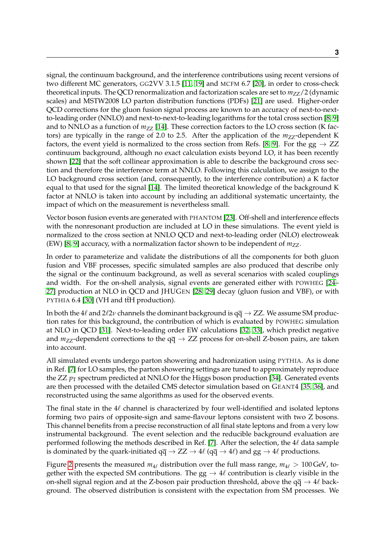signal, the continuum background, and the interference contributions using recent versions of two different MC generators, GG2VV 3.1.5 [\[11,](#page-12-6) [19\]](#page-13-3) and MCFM 6.7 [\[20\]](#page-13-4), in order to cross-check theoretical inputs. The QCD renormalization and factorization scales are set to  $m_{ZZ}/2$  (dynamic scales) and MSTW2008 LO parton distribution functions (PDFs) [\[21\]](#page-13-5) are used. Higher-order QCD corrections for the gluon fusion signal process are known to an accuracy of next-to-nextto-leading order (NNLO) and next-to-next-to-leading logarithms for the total cross section [\[8,](#page-12-3) [9\]](#page-12-4) and to NNLO as a function of  $m_{ZZ}$  [\[14\]](#page-12-9). These correction factors to the LO cross section (K factors) are typically in the range of 2.0 to 2.5. After the application of the  $m_{ZZ}$ -dependent K factors, the event yield is normalized to the cross section from Refs. [\[8,](#page-12-3) [9\]](#page-12-4). For the  $gg \to ZZ$ continuum background, although no exact calculation exists beyond LO, it has been recently shown [\[22\]](#page-13-6) that the soft collinear approximation is able to describe the background cross section and therefore the interference term at NNLO. Following this calculation, we assign to the LO background cross section (and, consequently, to the interference contribution) a K factor equal to that used for the signal [\[14\]](#page-12-9). The limited theoretical knowledge of the background K factor at NNLO is taken into account by including an additional systematic uncertainty, the impact of which on the measurement is nevertheless small.

Vector boson fusion events are generated with PHANTOM [\[23\]](#page-13-7). Off-shell and interference effects with the nonresonant production are included at LO in these simulations. The event yield is normalized to the cross section at NNLO QCD and next-to-leading order (NLO) electroweak (EW)  $[8, 9]$  $[8, 9]$  accuracy, with a normalization factor shown to be independent of  $m_{ZZ}$ .

In order to parameterize and validate the distributions of all the components for both gluon fusion and VBF processes, specific simulated samples are also produced that describe only the signal or the continuum background, as well as several scenarios with scaled couplings and width. For the on-shell analysis, signal events are generated either with POWHEG [\[24–](#page-13-8) [27\]](#page-13-9) production at NLO in QCD and JHUGEN [\[28,](#page-13-10) [29\]](#page-13-11) decay (gluon fusion and VBF), or with PYTHIA 6.4 [\[30\]](#page-14-0) (VH and ttH production).

In both the 4 $\ell$  and 2 $\ell$ 2*v* channels the dominant background is  $q\bar{q} \rightarrow ZZ$ . We assume SM production rates for this background, the contribution of which is evaluated by POWHEG simulation at NLO in QCD [\[31\]](#page-14-1). Next-to-leading order EW calculations [\[32,](#page-14-2) [33\]](#page-14-3), which predict negative and  $m_{ZZ}$ -dependent corrections to the  $q\bar{q} \rightarrow ZZ$  process for on-shell Z-boson pairs, are taken into account.

All simulated events undergo parton showering and hadronization using PYTHIA. As is done in Ref. [\[7\]](#page-12-2) for LO samples, the parton showering settings are tuned to approximately reproduce the ZZ  $p_T$  spectrum predicted at NNLO for the Higgs boson production [\[34\]](#page-14-4). Generated events are then processed with the detailed CMS detector simulation based on GEANT4 [\[35,](#page-14-5) [36\]](#page-14-6), and reconstructed using the same algorithms as used for the observed events.

The final state in the  $4\ell$  channel is characterized by four well-identified and isolated leptons forming two pairs of opposite-sign and same-flavour leptons consistent with two Z bosons. This channel benefits from a precise reconstruction of all final state leptons and from a very low instrumental background. The event selection and the reducible background evaluation are performed following the methods described in Ref. [\[7\]](#page-12-2). After the selection, the  $4\ell$  data sample is dominated by the quark-initiated  $q\bar{q} \to ZZ \to 4\ell$  ( $q\bar{q} \to 4\ell$ ) and  $gg \to 4\ell$  productions.

Figure [2](#page-5-0) presents the measured  $m_{4\ell}$  distribution over the full mass range,  $m_{4\ell} > 100$  GeV, together with the expected SM contributions. The  $gg \to 4\ell$  contribution is clearly visible in the on-shell signal region and at the Z-boson pair production threshold, above the  $q\bar{q} \rightarrow 4\ell$  background. The observed distribution is consistent with the expectation from SM processes. We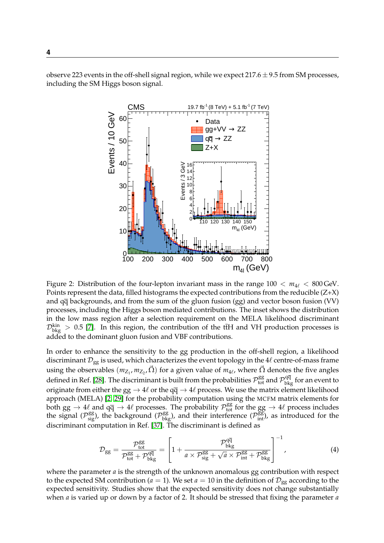<span id="page-5-0"></span>observe 223 events in the off-shell signal region, while we expect  $217.6 \pm 9.5$  from SM processes, including the SM Higgs boson signal.



Figure 2: Distribution of the four-lepton invariant mass in the range  $100 < m_{4\ell} < 800$  GeV. Points represent the data, filled histograms the expected contributions from the reducible  $(Z+X)$ and  $q\bar{q}$  backgrounds, and from the sum of the gluon fusion  $(qg)$  and vector boson fusion (VV) processes, including the Higgs boson mediated contributions. The inset shows the distribution in the low mass region after a selection requirement on the MELA likelihood discriminant  $\mathcal{D}_\text{bkg}^\text{kin}$   $>$  0.5 [\[7\]](#page-12-2). In this region, the contribution of the tt̄H and VH production processes is added to the dominant gluon fusion and VBF contributions.

In order to enhance the sensitivity to the gg production in the off-shell region, a likelihood discriminant  $\mathcal{D}_{gg}$  is used, which characterizes the event topology in the 4 $\ell$  centre-of-mass frame using the observables  $(m_{Z_1}, m_{Z_2}, \vec{\Omega})$  for a given value of  $m_{4\ell}$ , where  $\vec{\Omega}$  denotes the five angles defined in Ref. [\[28\]](#page-13-10). The discriminant is built from the probabilities  $\mathcal{P}^{gg}_{tot}$  and  $\mathcal{P}^{q\bar{q}}_{bkg}$  for an event to originate from either the gg  $\rightarrow$  4 $\ell$  or the q $\bar{q} \rightarrow$  4 $\ell$  process. We use the matrix element likelihood approach (MELA) [\[2,](#page-12-11) [29\]](#page-13-11) for the probability computation using the MCFM matrix elements for both gg  $\rightarrow$  4 $\ell$  and  $q\bar{q} \rightarrow 4\ell$  processes. The probability  $\mathcal{P}_{tot}^{gg}$  for the gg  $\rightarrow$  4 $\ell$  process includes the signal ( $\mathcal{P}_{sig}^{gg}$ ), the background ( $\mathcal{P}_{bkg}^{gg}$ ), and their interference ( $\mathcal{P}_{int}^{gg}$ ), as introduced for the discriminant computation in Ref. [\[37\]](#page-14-7). The discriminant is defined as

$$
\mathcal{D}_{gg} = \frac{\mathcal{P}_{tot}^{gg}}{\mathcal{P}_{tot}^{gg} + \mathcal{P}_{bkg}^{q\overline{q}}} = \left[1 + \frac{\mathcal{P}_{bkg}^{q\overline{q}}}{a \times \mathcal{P}_{sig}^{gg} + \sqrt{a} \times \mathcal{P}_{int}^{gg} + \mathcal{P}_{bkg}^{gg}}\right]^{-1},\tag{4}
$$

where the parameter *a* is the strength of the unknown anomalous gg contribution with respect to the expected SM contribution ( $a = 1$ ). We set  $a = 10$  in the definition of  $\mathcal{D}_{gg}$  according to the expected sensitivity. Studies show that the expected sensitivity does not change substantially when *a* is varied up or down by a factor of 2. It should be stressed that fixing the parameter *a*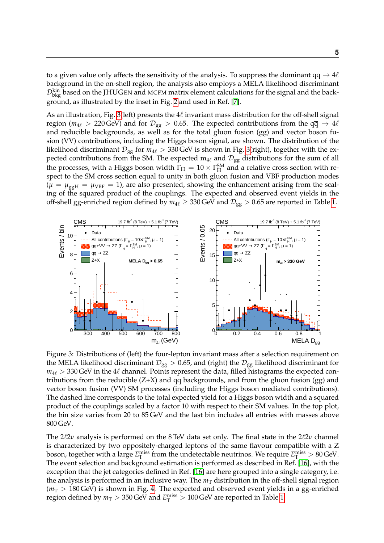to a given value only affects the sensitivity of the analysis. To suppress the dominant  $q\bar{q} \rightarrow 4\ell$ background in the on-shell region, the analysis also employs a MELA likelihood discriminant  $\mathcal{D}_\text{bkg}^\text{kin}$  based on the JHUGEN and MCFM matrix element calculations for the signal and the background, as illustrated by the inset in Fig. [2](#page-5-0) and used in Ref. [\[7\]](#page-12-2).

As an illustration, Fig. [3\(](#page-6-0)left) presents the  $4\ell$  invariant mass distribution for the off-shell signal region ( $m_{4\ell} > 220$  GeV) and for  $\mathcal{D}_{gg} > 0.65$ . The expected contributions from the  $q\bar{q} \to 4\ell$ and reducible backgrounds, as well as for the total gluon fusion (gg) and vector boson fusion (VV) contributions, including the Higgs boson signal, are shown. The distribution of the likelihood discriminant  $\mathcal{D}_{gg}$  for  $m_{4\ell} > 330$  GeV is shown in Fig. [3\(](#page-6-0)right), together with the expected contributions from the SM. The expected  $m_{4\ell}$  and  $\mathcal{D}_{gg}$  distributions for the sum of all the processes, with a Higgs boson width  $\Gamma_H = 10 \times \Gamma_H^{SM}$  and a relative cross section with respect to the SM cross section equal to unity in both gluon fusion and VBF production modes  $(\mu = \mu_{\text{ggH}} = \mu_{\text{VBF}} = 1)$ , are also presented, showing the enhancement arising from the scaling of the squared product of the couplings. The expected and observed event yields in the off-shell gg-enriched region defined by  $m_{4\ell} \geq 330$  GeV and  $\mathcal{D}_{gg} > 0.65$  are reported in Table [1.](#page-7-0)

<span id="page-6-0"></span>

Figure 3: Distributions of (left) the four-lepton invariant mass after a selection requirement on the MELA likelihood discriminant  $\mathcal{D}_{gg} > 0.65$ , and (right) the  $\mathcal{D}_{gg}$  likelihood discriminant for  $m_{4\ell} > 330$  GeV in the 4 $\ell$  channel. Points represent the data, filled histograms the expected contributions from the reducible  $(Z+X)$  and  $q\bar{q}$  backgrounds, and from the gluon fusion (gg) and vector boson fusion (VV) SM processes (including the Higgs boson mediated contributions). The dashed line corresponds to the total expected yield for a Higgs boson width and a squared product of the couplings scaled by a factor 10 with respect to their SM values. In the top plot, the bin size varies from 20 to 85 GeV and the last bin includes all entries with masses above 800 GeV.

The  $2\ell2\nu$  analysis is performed on the 8 TeV data set only. The final state in the  $2\ell2\nu$  channel is characterized by two oppositely-charged leptons of the same flavour compatible with a Z boson, together with a large  $E_{\rm T}^{\rm miss}$  from the undetectable neutrinos. We require  $E_{\rm T}^{\rm miss} > 80\,\text{GeV}.$ The event selection and background estimation is performed as described in Ref. [\[16\]](#page-13-0), with the exception that the jet categories defined in Ref. [\[16\]](#page-13-0) are here grouped into a single category, i.e. the analysis is performed in an inclusive way. The  $m<sub>T</sub>$  distribution in the off-shell signal region  $(m<sub>T</sub> > 180 \text{ GeV})$  is shown in Fig. [4.](#page-8-0) The expected and observed event yields in a gg-enriched region defined by  $m_T > 350$  GeV and  $E_T^{\text{miss}} > 100$  GeV are reported in Table [1.](#page-7-0)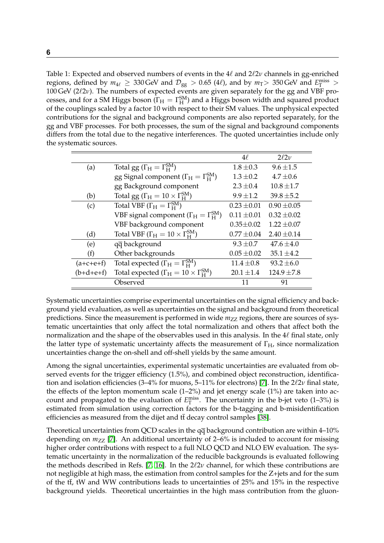<span id="page-7-0"></span>Table 1: Expected and observed numbers of events in the  $4\ell$  and  $2\ell 2\nu$  channels in gg-enriched regions, defined by  $m_{4\ell} \geq 330$  GeV and  $\mathcal{D}_{gg} > 0.65$  (4 $\ell$ ), and by  $m_T$ > 350 GeV and  $E_T^{\text{miss}} >$ 100 GeV (2l2ν). The numbers of expected events are given separately for the gg and VBF processes, and for a SM Higgs boson ( $\Gamma_H = \Gamma_H^{SM}$ ) and a Higgs boson width and squared product of the couplings scaled by a factor 10 with respect to their SM values. The unphysical expected contributions for the signal and background components are also reported separately, for the gg and VBF processes. For both processes, the sum of the signal and background components differs from the total due to the negative interferences. The quoted uncertainties include only the systematic sources.

|             |                                                                         | 4l              | $2\ell 2\nu$    |
|-------------|-------------------------------------------------------------------------|-----------------|-----------------|
| (a)         | Total gg ( $\Gamma_{\rm H} = \Gamma_{\rm H}^{\rm SM}$ )                 | $1.8 \pm 0.3$   | $9.6 \pm 1.5$   |
|             | gg Signal component ( $\Gamma_{\rm H} = \Gamma_{\rm H}^{\rm SM}$ )      | $1.3 \pm 0.2$   | $4.7 \pm 0.6$   |
|             | gg Background component                                                 | $2.3 \pm 0.4$   | $10.8 \pm 1.7$  |
| (b)         | Total gg ( $\Gamma_H = 10 \times \Gamma_H^{SM}$ )                       | $9.9 \pm 1.2$   | $39.8 \pm 5.2$  |
| (c)         | Total VBF $(\Gamma_{\rm H} = \Gamma_{\rm H}^{\rm SM})$                  | $0.23 \pm 0.01$ | $0.90 \pm 0.05$ |
|             | VBF signal component ( $\Gamma_{\rm H} = \Gamma_{\rm H}^{\rm SM}$ )     | $0.11 \pm 0.01$ | $0.32 \pm 0.02$ |
|             | VBF background component                                                | $0.35 \pm 0.02$ | $1.22 \pm 0.07$ |
| (d)         | Total VBF ( $\Gamma_{\rm H} = 10 \times \Gamma_{\rm H}^{\rm SM}$ )      | $0.77 \pm 0.04$ | $2.40 \pm 0.14$ |
| (e)         | qq background                                                           | $9.3 \pm 0.7$   | $47.6 \pm 4.0$  |
| (f)         | Other backgrounds                                                       | $0.05 \pm 0.02$ | $35.1 \pm 4.2$  |
| $(a+c+e+f)$ | Total expected $(\Gamma_{\rm H} = \Gamma_{\rm H}^{\rm SM})$             | $11.4 \pm 0.8$  | $93.2 \pm 6.0$  |
| $(b+d+e+f)$ | Total expected ( $\Gamma_{\rm H} = 10 \times \Gamma_{\rm H}^{\rm SM}$ ) | $20.1 \pm 1.4$  | $124.9 \pm 7.8$ |
|             | Observed                                                                | 11              | 91              |

Systematic uncertainties comprise experimental uncertainties on the signal efficiency and background yield evaluation, as well as uncertainties on the signal and background from theoretical predictions. Since the measurement is performed in wide  $m_{ZZ}$  regions, there are sources of systematic uncertainties that only affect the total normalization and others that affect both the normalization and the shape of the observables used in this analysis. In the  $4\ell$  final state, only the latter type of systematic uncertainty affects the measurement of  $\Gamma_{H}$ , since normalization uncertainties change the on-shell and off-shell yields by the same amount.

Among the signal uncertainties, experimental systematic uncertainties are evaluated from observed events for the trigger efficiency (1.5%), and combined object reconstruction, identifica-tion and isolation efficiencies (3–4% for muons, 5–11% for electrons) [\[7\]](#page-12-2). In the  $2\ell2\nu$  final state, the effects of the lepton momentum scale  $(1-2\%)$  and jet energy scale  $(1\%)$  are taken into account and propagated to the evaluation of  $E_{\text{T}}^{\text{miss}}$ . The uncertainty in the b-jet veto (1–3%) is estimated from simulation using correction factors for the b-tagging and b-misidentification efficiencies as measured from the dijet and tt decay control samples [\[38\]](#page-14-8).

Theoretical uncertainties from QCD scales in the  $q\bar{q}$  background contribution are within 4–10% depending on  $m_{ZZ}$  [\[7\]](#page-12-2). An additional uncertainty of 2–6% is included to account for missing higher order contributions with respect to a full NLO QCD and NLO EW evaluation. The systematic uncertainty in the normalization of the reducible backgrounds is evaluated following the methods described in Refs. [\[7,](#page-12-2) [16\]](#page-13-0). In the  $2\ell 2\nu$  channel, for which these contributions are not negligible at high mass, the estimation from control samples for the Z+jets and for the sum of the tt, tW and WW contributions leads to uncertainties of 25% and 15% in the respective background yields. Theoretical uncertainties in the high mass contribution from the gluon-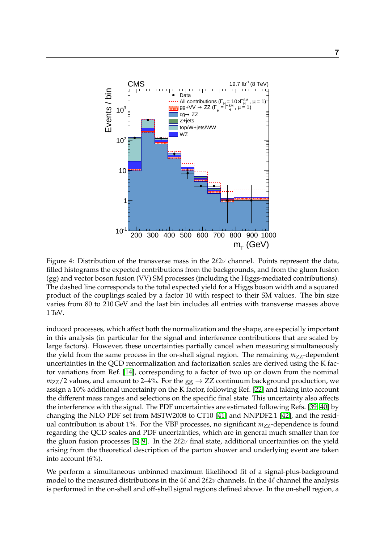<span id="page-8-0"></span>

Figure 4: Distribution of the transverse mass in the 2l2ν channel. Points represent the data, filled histograms the expected contributions from the backgrounds, and from the gluon fusion (gg) and vector boson fusion (VV) SM processes (including the Higgs-mediated contributions). The dashed line corresponds to the total expected yield for a Higgs boson width and a squared product of the couplings scaled by a factor 10 with respect to their SM values. The bin size varies from 80 to 210 GeV and the last bin includes all entries with transverse masses above 1 TeV.

induced processes, which affect both the normalization and the shape, are especially important in this analysis (in particular for the signal and interference contributions that are scaled by large factors). However, these uncertainties partially cancel when measuring simultaneously the yield from the same process in the on-shell signal region. The remaining  $m_{ZZ}$ -dependent uncertainties in the QCD renormalization and factorization scales are derived using the K factor variations from Ref. [\[14\]](#page-12-9), corresponding to a factor of two up or down from the nominal  $m_{ZZ}/2$  values, and amount to 2–4%. For the  $gg \to ZZ$  continuum background production, we assign a 10% additional uncertainty on the K factor, following Ref. [\[22\]](#page-13-6) and taking into account the different mass ranges and selections on the specific final state. This uncertainty also affects the interference with the signal. The PDF uncertainties are estimated following Refs. [\[39,](#page-14-9) [40\]](#page-14-10) by changing the NLO PDF set from MSTW2008 to CT10 [\[41\]](#page-14-11) and NNPDF2.1 [\[42\]](#page-14-12), and the residual contribution is about 1%. For the VBF processes, no significant  $m_{ZZ}$ -dependence is found regarding the QCD scales and PDF uncertainties, which are in general much smaller than for the gluon fusion processes [\[8,](#page-12-3) [9\]](#page-12-4). In the  $2\ell2\nu$  final state, additional uncertainties on the yield arising from the theoretical description of the parton shower and underlying event are taken into account (6%).

We perform a simultaneous unbinned maximum likelihood fit of a signal-plus-background model to the measured distributions in the  $4\ell$  and  $2\ell2\nu$  channels. In the  $4\ell$  channel the analysis is performed in the on-shell and off-shell signal regions defined above. In the on-shell region, a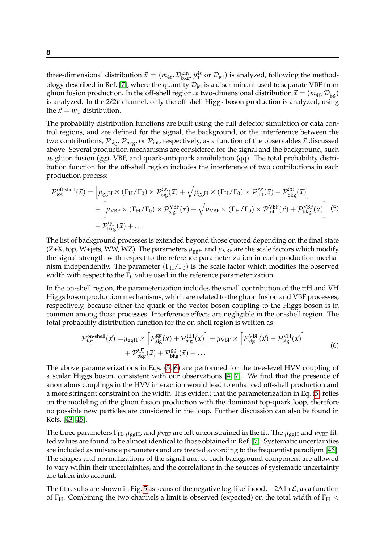three-dimensional distribution  $\vec{x} = (m_{4\ell}, \mathcal{D}_{bkg}^{kin}, p_{T}^{4\ell} \text{ or } \mathcal{D}_{\text{jet}})$  is analyzed, following the method-ology described in Ref. [\[7\]](#page-12-2), where the quantity  $\mathcal{D}_{jet}$  is a discriminant used to separate VBF from gluon fusion production. In the off-shell region, a two-dimensional distribution  $\vec{x} = (m_{4\ell}, \mathcal{D}_{\rm gg})$ is analyzed. In the  $2\ell2\nu$  channel, only the off-shell Higgs boson production is analyzed, using the  $\vec{x} = m_T$  distribution.

The probability distribution functions are built using the full detector simulation or data control regions, and are defined for the signal, the background, or the interference between the two contributions,  $P_{\text{sig}}$ ,  $P_{\text{bkg}}$ , or  $P_{\text{int}}$ , respectively, as a function of the observables  $\vec{x}$  discussed above. Several production mechanisms are considered for the signal and the background, such as gluon fusion (gg), VBF, and quark-antiquark annihilation ( $q\bar{q}$ ). The total probability distribution function for the off-shell region includes the interference of two contributions in each production process:

<span id="page-9-0"></span>
$$
\mathcal{P}_{\text{tot}}^{\text{off-shell}}(\vec{x}) = \left[\mu_{\text{ggH}} \times (\Gamma_{\text{H}}/\Gamma_{0}) \times \mathcal{P}_{\text{sig}}^{\text{gg}}(\vec{x}) + \sqrt{\mu_{\text{ggH}} \times (\Gamma_{\text{H}}/\Gamma_{0})} \times \mathcal{P}_{\text{int}}^{\text{gg}}(\vec{x}) + \mathcal{P}_{\text{bkg}}^{\text{gg}}(\vec{x})\right] + \left[\mu_{\text{VBF}} \times (\Gamma_{\text{H}}/\Gamma_{0}) \times \mathcal{P}_{\text{sig}}^{\text{VBF}}(\vec{x}) + \sqrt{\mu_{\text{VBF}} \times (\Gamma_{\text{H}}/\Gamma_{0})} \times \mathcal{P}_{\text{int}}^{\text{VBF}}(\vec{x}) + \mathcal{P}_{\text{bkg}}^{\text{VBF}}(\vec{x})\right] (5) + \mathcal{P}_{\text{bkg}}^{\text{VGF}}(\vec{x}) + \dots
$$

The list of background processes is extended beyond those quoted depending on the final state  $(Z+X)$ , top, W+jets, WW, WZ). The parameters  $\mu_{ggH}$  and  $\mu_{VBF}$  are the scale factors which modify the signal strength with respect to the reference parameterization in each production mechanism independently. The parameter  $(\Gamma_H/\Gamma_0)$  is the scale factor which modifies the observed width with respect to the  $\Gamma_0$  value used in the reference parameterization.

In the on-shell region, the parameterization includes the small contribution of the ttH and VH Higgs boson production mechanisms, which are related to the gluon fusion and VBF processes, respectively, because either the quark or the vector boson coupling to the Higgs boson is in common among those processes. Interference effects are negligible in the on-shell region. The total probability distribution function for the on-shell region is written as

<span id="page-9-1"></span>
$$
\mathcal{P}_{\text{tot}}^{\text{on-shell}}(\vec{x}) = \mu_{\text{ggH}} \times \left[ \mathcal{P}_{\text{sig}}^{\text{gg}}(\vec{x}) + \mathcal{P}_{\text{sig}}^{\text{tH}}(\vec{x}) \right] + \mu_{\text{VBF}} \times \left[ \mathcal{P}_{\text{sig}}^{\text{VBF}}(\vec{x}) + \mathcal{P}_{\text{sig}}^{\text{VH}}(\vec{x}) \right] + \mathcal{P}_{\text{bkg}}^{\text{q}\bar{\text{q}}}(\vec{x}) + \mathcal{P}_{\text{bkg}}^{\text{gg}}(\vec{x}) + \dots
$$
\n(6)

The above parameterizations in Eqs. [\(5,](#page-9-0) [6\)](#page-9-1) are performed for the tree-level HVV coupling of a scalar Higgs boson, consistent with our observations [\[4,](#page-12-1) [7\]](#page-12-2). We find that the presence of anomalous couplings in the HVV interaction would lead to enhanced off-shell production and a more stringent constraint on the width. It is evident that the parameterization in Eq. [\(5\)](#page-9-0) relies on the modeling of the gluon fusion production with the dominant top-quark loop, therefore no possible new particles are considered in the loop. Further discussion can also be found in Refs. [\[43–](#page-14-13)[45\]](#page-14-14).

The three parameters  $\Gamma_H$ ,  $\mu_{ggH}$ , and  $\mu_{VBF}$  are left unconstrained in the fit. The  $\mu_{ggH}$  and  $\mu_{VBF}$  fitted values are found to be almost identical to those obtained in Ref. [\[7\]](#page-12-2). Systematic uncertainties are included as nuisance parameters and are treated according to the frequentist paradigm [\[46\]](#page-15-0). The shapes and normalizations of the signal and of each background component are allowed to vary within their uncertainties, and the correlations in the sources of systematic uncertainty are taken into account.

The fit results are shown in Fig. [5](#page-10-0) as scans of the negative log-likelihood,  $-2\Delta \ln \mathcal{L}$ , as a function of  $\Gamma_{\rm H}$ . Combining the two channels a limit is observed (expected) on the total width of  $\Gamma_{\rm H}$   $<$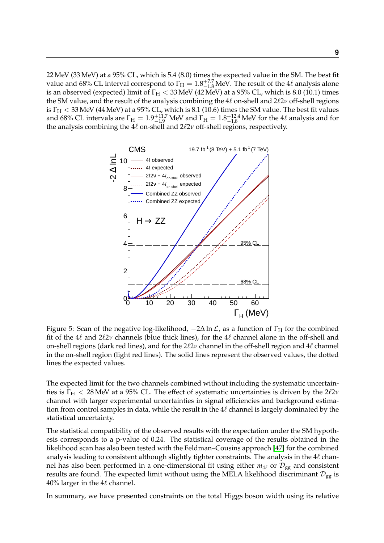22 MeV (33 MeV) at a 95% CL, which is 5.4 (8.0) times the expected value in the SM. The best fit value and 68% CL interval correspond to  $\Gamma_H = 1.8^{+7.7}_{-1.8}$  MeV. The result of the 4 $\ell$  analysis alone is an observed (expected) limit of  $\Gamma_H < 33$  MeV (42 MeV) at a 95% CL, which is 8.0 (10.1) times the SM value, and the result of the analysis combining the 4*ℓ* on-shell and 2*ℓ*2*ν* off-shell regions is  $\Gamma_H < 33$  MeV (44 MeV) at a 95% CL, which is 8.1 (10.6) times the SM value. The best fit values and 68% CL intervals are  $\Gamma_H = 1.9^{+11.7}_{-1.9}$  MeV and  $\Gamma_H = 1.8^{+12.4}_{-1.8}$  MeV for the 4 $\ell$  analysis and for the analysis combining the  $4\ell$  on-shell and  $2\ell2\nu$  off-shell regions, respectively.

<span id="page-10-0"></span>

Figure 5: Scan of the negative log-likelihood,  $-2\Delta \ln \mathcal{L}$ , as a function of  $\Gamma_H$  for the combined fit of the  $4\ell$  and  $2\ell$ 2*v* channels (blue thick lines), for the  $4\ell$  channel alone in the off-shell and on-shell regions (dark red lines), and for the 2 $\ell$ 2ν channel in the off-shell region and 4 $\ell$  channel in the on-shell region (light red lines). The solid lines represent the observed values, the dotted lines the expected values.

The expected limit for the two channels combined without including the systematic uncertainties is  $\Gamma_H < 28$  MeV at a 95% CL. The effect of systematic uncertainties is driven by the  $2\ell$ 2*ν* channel with larger experimental uncertainties in signal efficiencies and background estimation from control samples in data, while the result in the  $4\ell$  channel is largely dominated by the statistical uncertainty.

The statistical compatibility of the observed results with the expectation under the SM hypothesis corresponds to a p-value of 0.24. The statistical coverage of the results obtained in the likelihood scan has also been tested with the Feldman–Cousins approach [\[47\]](#page-15-1) for the combined analysis leading to consistent although slightly tighter constraints. The analysis in the  $4\ell$  channel has also been performed in a one-dimensional fit using either  $m_{4\ell}$  or  $\mathcal{D}_{gg}$  and consistent results are found. The expected limit without using the MELA likelihood discriminant  $\mathcal{D}_{\rm gg}$  is 40% larger in the  $4\ell$  channel.

In summary, we have presented constraints on the total Higgs boson width using its relative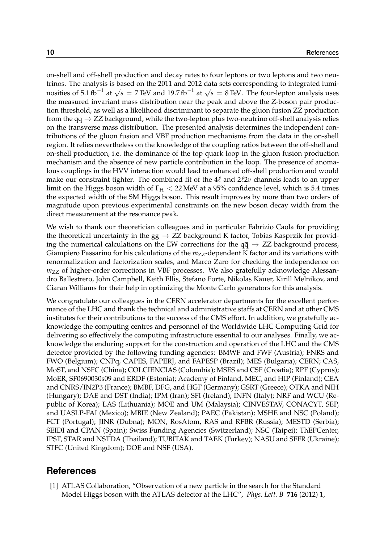on-shell and off-shell production and decay rates to four leptons or two leptons and two neutrinos. The analysis is based on the 2011 and 2012 data sets corresponding to integrated luminosities of 5.1 fb<sup>-1</sup> at  $\sqrt{s}$  = 7 TeV and 19.7 fb<sup>-1</sup> at  $\sqrt{s}$  = 8 TeV. The four-lepton analysis uses the measured invariant mass distribution near the peak and above the Z-boson pair production threshold, as well as a likelihood discriminant to separate the gluon fusion ZZ production from the  $q\bar{q} \rightarrow ZZ$  background, while the two-lepton plus two-neutrino off-shell analysis relies on the transverse mass distribution. The presented analysis determines the independent contributions of the gluon fusion and VBF production mechanisms from the data in the on-shell region. It relies nevertheless on the knowledge of the coupling ratios between the off-shell and on-shell production, i.e. the dominance of the top quark loop in the gluon fusion production mechanism and the absence of new particle contribution in the loop. The presence of anomalous couplings in the HVV interaction would lead to enhanced off-shell production and would make our constraint tighter. The combined fit of the  $4\ell$  and  $2\ell2\nu$  channels leads to an upper limit on the Higgs boson width of  $\Gamma_H < 22$  MeV at a 95% confidence level, which is 5.4 times the expected width of the SM Higgs boson. This result improves by more than two orders of magnitude upon previous experimental constraints on the new boson decay width from the direct measurement at the resonance peak.

We wish to thank our theoretician colleagues and in particular Fabrizio Caola for providing the theoretical uncertainty in the  $gg \to ZZ$  background K factor, Tobias Kasprzik for providing the numerical calculations on the EW corrections for the  $q\bar{q} \rightarrow ZZ$  background process, Giampiero Passarino for his calculations of the  $m_{ZZ}$ -dependent K factor and its variations with renormalization and factorization scales, and Marco Zaro for checking the independence on *m*<sub>ZZ</sub> of higher-order corrections in VBF processes. We also gratefully acknowledge Alessandro Ballestrero, John Campbell, Keith Ellis, Stefano Forte, Nikolas Kauer, Kirill Melnikov, and Ciaran Williams for their help in optimizing the Monte Carlo generators for this analysis.

We congratulate our colleagues in the CERN accelerator departments for the excellent performance of the LHC and thank the technical and administrative staffs at CERN and at other CMS institutes for their contributions to the success of the CMS effort. In addition, we gratefully acknowledge the computing centres and personnel of the Worldwide LHC Computing Grid for delivering so effectively the computing infrastructure essential to our analyses. Finally, we acknowledge the enduring support for the construction and operation of the LHC and the CMS detector provided by the following funding agencies: BMWF and FWF (Austria); FNRS and FWO (Belgium); CNPq, CAPES, FAPERJ, and FAPESP (Brazil); MES (Bulgaria); CERN; CAS, MoST, and NSFC (China); COLCIENCIAS (Colombia); MSES and CSF (Croatia); RPF (Cyprus); MoER, SF0690030s09 and ERDF (Estonia); Academy of Finland, MEC, and HIP (Finland); CEA and CNRS/IN2P3 (France); BMBF, DFG, and HGF (Germany); GSRT (Greece); OTKA and NIH (Hungary); DAE and DST (India); IPM (Iran); SFI (Ireland); INFN (Italy); NRF and WCU (Republic of Korea); LAS (Lithuania); MOE and UM (Malaysia); CINVESTAV, CONACYT, SEP, and UASLP-FAI (Mexico); MBIE (New Zealand); PAEC (Pakistan); MSHE and NSC (Poland); FCT (Portugal); JINR (Dubna); MON, RosAtom, RAS and RFBR (Russia); MESTD (Serbia); SEIDI and CPAN (Spain); Swiss Funding Agencies (Switzerland); NSC (Taipei); ThEPCenter, IPST, STAR and NSTDA (Thailand); TUBITAK and TAEK (Turkey); NASU and SFFR (Ukraine); STFC (United Kingdom); DOE and NSF (USA).

## **References**

<span id="page-11-0"></span>[1] ATLAS Collaboration, "Observation of a new particle in the search for the Standard Model Higgs boson with the ATLAS detector at the LHC", *Phys. Lett. B* **716** (2012) 1,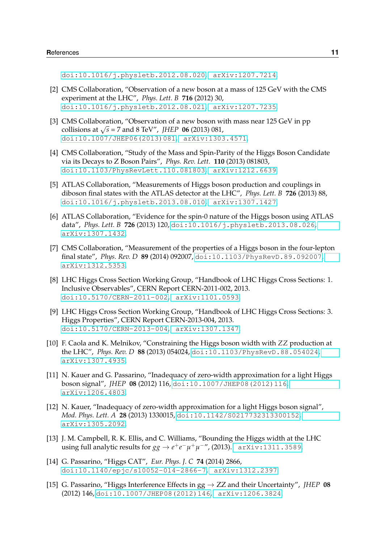[doi:10.1016/j.physletb.2012.08.020](http://dx.doi.org/10.1016/j.physletb.2012.08.020), [arXiv:1207.7214](http://www.arXiv.org/abs/1207.7214).

- <span id="page-12-11"></span>[2] CMS Collaboration, "Observation of a new boson at a mass of 125 GeV with the CMS experiment at the LHC", *Phys. Lett. B* **716** (2012) 30, [doi:10.1016/j.physletb.2012.08.021](http://dx.doi.org/10.1016/j.physletb.2012.08.021), [arXiv:1207.7235](http://www.arXiv.org/abs/1207.7235).
- <span id="page-12-0"></span>[3] CMS Collaboration, "Observation of a new boson with mass near 125 GeV in pp  $\text{CMS}$  Conaporation,  $\text{COS}$  Observation of a new boson w collisions at  $\sqrt{s} = 7$  and 8 TeV", *JHEP* **06** (2013) 081, [doi:10.1007/JHEP06\(2013\)081](http://dx.doi.org/10.1007/JHEP06(2013)081), [arXiv:1303.4571](http://www.arXiv.org/abs/1303.4571).
- <span id="page-12-1"></span>[4] CMS Collaboration, "Study of the Mass and Spin-Parity of the Higgs Boson Candidate via its Decays to Z Boson Pairs", *Phys. Rev. Lett.* **110** (2013) 081803, [doi:10.1103/PhysRevLett.110.081803](http://dx.doi.org/10.1103/PhysRevLett.110.081803), [arXiv:1212.6639](http://www.arXiv.org/abs/1212.6639).
- [5] ATLAS Collaboration, "Measurements of Higgs boson production and couplings in diboson final states with the ATLAS detector at the LHC", *Phys. Lett. B* **726** (2013) 88, [doi:10.1016/j.physletb.2013.08.010](http://dx.doi.org/10.1016/j.physletb.2013.08.010), [arXiv:1307.1427](http://www.arXiv.org/abs/1307.1427).
- [6] ATLAS Collaboration, "Evidence for the spin-0 nature of the Higgs boson using ATLAS data", *Phys. Lett. B* **726** (2013) 120, [doi:10.1016/j.physletb.2013.08.026](http://dx.doi.org/10.1016/j.physletb.2013.08.026), [arXiv:1307.1432](http://www.arXiv.org/abs/1307.1432).
- <span id="page-12-2"></span>[7] CMS Collaboration, "Measurement of the properties of a Higgs boson in the four-lepton final state", *Phys. Rev. D* **89** (2014) 092007, [doi:10.1103/PhysRevD.89.092007](http://dx.doi.org/10.1103/PhysRevD.89.092007), [arXiv:1312.5353](http://www.arXiv.org/abs/1312.5353).
- <span id="page-12-3"></span>[8] LHC Higgs Cross Section Working Group, "Handbook of LHC Higgs Cross Sections: 1. Inclusive Observables", CERN Report CERN-2011-002, 2013. [doi:10.5170/CERN-2011-002](http://dx.doi.org/10.5170/CERN-2011-002), [arXiv:1101.0593](http://www.arXiv.org/abs/1101.0593).
- <span id="page-12-4"></span>[9] LHC Higgs Cross Section Working Group, "Handbook of LHC Higgs Cross Sections: 3. Higgs Properties", CERN Report CERN-2013-004, 2013. [doi:10.5170/CERN-2013-004](http://dx.doi.org/10.5170/CERN-2013-004), [arXiv:1307.1347](http://www.arXiv.org/abs/1307.1347).
- <span id="page-12-5"></span>[10] F. Caola and K. Melnikov, "Constraining the Higgs boson width with *ZZ* production at the LHC", *Phys. Rev. D* **88** (2013) 054024, [doi:10.1103/PhysRevD.88.054024](http://dx.doi.org/10.1103/PhysRevD.88.054024), [arXiv:1307.4935](http://www.arXiv.org/abs/1307.4935).
- <span id="page-12-6"></span>[11] N. Kauer and G. Passarino, "Inadequacy of zero-width approximation for a light Higgs boson signal", *JHEP* **08** (2012) 116, [doi:10.1007/JHEP08\(2012\)116](http://dx.doi.org/10.1007/JHEP08(2012)116), [arXiv:1206.4803](http://www.arXiv.org/abs/1206.4803).
- <span id="page-12-7"></span>[12] N. Kauer, "Inadequacy of zero-width approximation for a light Higgs boson signal", *Mod. Phys. Lett. A* **28** (2013) 1330015, [doi:10.1142/S0217732313300152](http://dx.doi.org/10.1142/S0217732313300152), [arXiv:1305.2092](http://www.arXiv.org/abs/1305.2092).
- <span id="page-12-8"></span>[13] J. M. Campbell, R. K. Ellis, and C. Williams, "Bounding the Higgs width at the LHC using full analytic results for  $gg \to e^+e^-\mu^+\mu^-$ ", (2013). [arXiv:1311.3589](http://www.arXiv.org/abs/1311.3589).
- <span id="page-12-9"></span>[14] G. Passarino, "Higgs CAT", *Eur. Phys. J. C* **74** (2014) 2866, [doi:10.1140/epjc/s10052-014-2866-7](http://dx.doi.org/10.1140/epjc/s10052-014-2866-7), [arXiv:1312.2397](http://www.arXiv.org/abs/1312.2397).
- <span id="page-12-10"></span>[15] G. Passarino, "Higgs Interference Effects in gg → ZZ and their Uncertainty", *JHEP* **08** (2012) 146, [doi:10.1007/JHEP08\(2012\)146](http://dx.doi.org/10.1007/JHEP08(2012)146), [arXiv:1206.3824](http://www.arXiv.org/abs/1206.3824).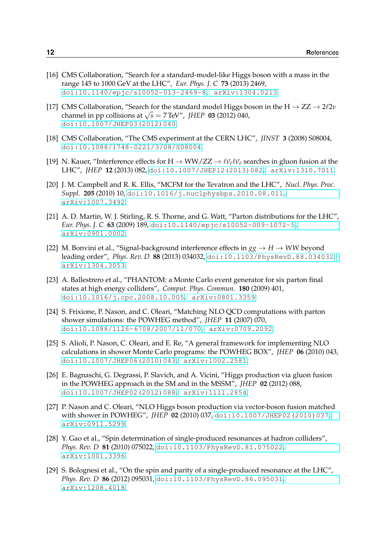- <span id="page-13-0"></span>[16] CMS Collaboration, "Search for a standard-model-like Higgs boson with a mass in the range 145 to 1000 GeV at the LHC", *Eur. Phys. J. C* **73** (2013) 2469, [doi:10.1140/epjc/s10052-013-2469-8](http://dx.doi.org/10.1140/epjc/s10052-013-2469-8), [arXiv:1304.0213](http://www.arXiv.org/abs/1304.0213).
- <span id="page-13-1"></span>[17] CMS Collaboration, "Search for the standard model Higgs boson in the  $H \to ZZ \to 2\ell 2\nu$  $\frac{1}{2}$  conaboration, search for the standard model Figgs bechannel in pp collisions at  $\sqrt{s} = 7$  TeV", *JHEP* **03** (2012) 040, [doi:10.1007/JHEP03\(2012\)040](http://dx.doi.org/10.1007/JHEP03(2012)040).
- <span id="page-13-2"></span>[18] CMS Collaboration, "The CMS experiment at the CERN LHC", *JINST* **3** (2008) S08004, [doi:10.1088/1748-0221/3/08/S08004](http://dx.doi.org/10.1088/1748-0221/3/08/S08004).
- <span id="page-13-3"></span>[19] N. Kauer, "Interference effects for  $H \to WW/ZZ \to \ell \bar{\nu}_{\ell} \ell \bar{\nu}_{\ell}$  searches in gluon fusion at the LHC", *JHEP* **12** (2013) 082, [doi:10.1007/JHEP12\(2013\)082](http://dx.doi.org/10.1007/JHEP12(2013)082), [arXiv:1310.7011](http://www.arXiv.org/abs/1310.7011).
- <span id="page-13-4"></span>[20] J. M. Campbell and R. K. Ellis, "MCFM for the Tevatron and the LHC", *Nucl. Phys. Proc. Suppl.* **205** (2010) 10, [doi:10.1016/j.nuclphysbps.2010.08.011](http://dx.doi.org/10.1016/j.nuclphysbps.2010.08.011), [arXiv:1007.3492](http://www.arXiv.org/abs/1007.3492).
- <span id="page-13-5"></span>[21] A. D. Martin, W. J. Stirling, R. S. Thorne, and G. Watt, "Parton distributions for the LHC", *Eur. Phys. J. C* **63** (2009) 189, [doi:10.1140/epjc/s10052-009-1072-5](http://dx.doi.org/10.1140/epjc/s10052-009-1072-5), [arXiv:0901.0002](http://www.arXiv.org/abs/0901.0002).
- <span id="page-13-6"></span>[22] M. Bonvini et al., "Signal-background interference effects in  $gg \to H \to WW$  beyond leading order", *Phys. Rev. D* **88** (2013) 034032, [doi:10.1103/PhysRevD.88.034032](http://dx.doi.org/10.1103/PhysRevD.88.034032), [arXiv:1304.3053](http://www.arXiv.org/abs/1304.3053).
- <span id="page-13-7"></span>[23] A. Ballestrero et al., "PHANTOM: a Monte Carlo event generator for six parton final states at high energy colliders", *Comput. Phys. Commun.* **180** (2009) 401, [doi:10.1016/j.cpc.2008.10.005](http://dx.doi.org/10.1016/j.cpc.2008.10.005), [arXiv:0801.3359](http://www.arXiv.org/abs/0801.3359).
- <span id="page-13-8"></span>[24] S. Frixione, P. Nason, and C. Oleari, "Matching NLO QCD computations with parton shower simulations: the POWHEG method", *JHEP* **11** (2007) 070, [doi:10.1088/1126-6708/2007/11/070](http://dx.doi.org/10.1088/1126-6708/2007/11/070), [arXiv:0709.2092](http://www.arXiv.org/abs/0709.2092).
- [25] S. Alioli, P. Nason, C. Oleari, and E. Re, "A general framework for implementing NLO calculations in shower Monte Carlo programs: the POWHEG BOX", *JHEP* **06** (2010) 043, [doi:10.1007/JHEP06\(2010\)043](http://dx.doi.org/10.1007/JHEP06(2010)043), [arXiv:1002.2581](http://www.arXiv.org/abs/1002.2581).
- [26] E. Bagnaschi, G. Degrassi, P. Slavich, and A. Vicini, "Higgs production via gluon fusion in the POWHEG approach in the SM and in the MSSM", *JHEP* **02** (2012) 088, [doi:10.1007/JHEP02\(2012\)088](http://dx.doi.org/10.1007/JHEP02(2012)088), [arXiv:1111.2854](http://www.arXiv.org/abs/1111.2854).
- <span id="page-13-9"></span>[27] P. Nason and C. Oleari, "NLO Higgs boson production via vector-boson fusion matched with shower in POWHEG", *JHEP* **02** (2010) 037, [doi:10.1007/JHEP02\(2010\)037](http://dx.doi.org/10.1007/JHEP02(2010)037), [arXiv:0911.5299](http://www.arXiv.org/abs/0911.5299).
- <span id="page-13-10"></span>[28] Y. Gao et al., "Spin determination of single-produced resonances at hadron colliders", *Phys. Rev. D* **81** (2010) 075022, [doi:10.1103/PhysRevD.81.075022](http://dx.doi.org/10.1103/PhysRevD.81.075022), [arXiv:1001.3396](http://www.arXiv.org/abs/1001.3396).
- <span id="page-13-11"></span>[29] S. Bolognesi et al., "On the spin and parity of a single-produced resonance at the LHC", *Phys. Rev. D* **86** (2012) 095031, [doi:10.1103/PhysRevD.86.095031](http://dx.doi.org/10.1103/PhysRevD.86.095031), [arXiv:1208.4018](http://www.arXiv.org/abs/1208.4018).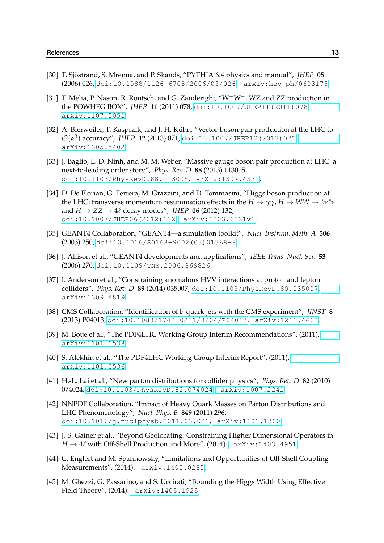- <span id="page-14-0"></span>[30] T. Sjöstrand, S. Mrenna, and P. Skands, "PYTHIA 6.4 physics and manual", *JHEP* 05 (2006) 026, [doi:10.1088/1126-6708/2006/05/026](http://dx.doi.org/10.1088/1126-6708/2006/05/026), [arXiv:hep-ph/0603175](http://www.arXiv.org/abs/hep-ph/0603175).
- <span id="page-14-1"></span>[31] T. Melia, P. Nason, R. Rontsch, and G. Zanderighi, "W+W−, WZ and ZZ production in the POWHEG BOX", *JHEP* **11** (2011) 078, [doi:10.1007/JHEP11\(2011\)078](http://dx.doi.org/10.1007/JHEP11(2011)078), [arXiv:1107.5051](http://www.arXiv.org/abs/1107.5051).
- <span id="page-14-2"></span>[32] A. Bierweiler, T. Kasprzik, and J. H. Kühn, "Vector-boson pair production at [the LHC to](http://www.arXiv.org/abs/1305.5402) O(*α* 3 ) accuracy", *JHEP* **12** (2013) 071, [doi:10.1007/JHEP12\(2013\)071](http://dx.doi.org/10.1007/JHEP12(2013)071), [arXiv:1305.5402](http://www.arXiv.org/abs/1305.5402).
- <span id="page-14-3"></span>[33] J. Baglio, L. D. Ninh, and M. M. Weber, "Massive gauge boson pair production at LHC: a next-to-leading order story", *Phys. Rev. D* **88** (2013) 113005, [doi:10.1103/PhysRevD.88.113005](http://dx.doi.org/10.1103/PhysRevD.88.113005), [arXiv:1307.4331](http://www.arXiv.org/abs/1307.4331).
- <span id="page-14-4"></span>[34] D. De Florian, G. Ferrera, M. Grazzini, and D. Tommasini, "Higgs boson production at the LHC: transverse momentum resummation effects in the  $H \rightarrow \gamma \gamma$ ,  $H \rightarrow WW \rightarrow \ell \nu \ell \nu$ and  $H \rightarrow ZZ \rightarrow 4\ell$  decay modes", *JHEP* **06** (2012) 132, [doi:10.1007/JHEP06\(2012\)132](http://dx.doi.org/10.1007/JHEP06(2012)132), [arXiv:1203.6321v1](http://www.arXiv.org/abs/1203.6321v1).
- <span id="page-14-5"></span>[35] GEANT4 Collaboration, "GEANT4—a simulation toolkit", *Nucl. Instrum. Meth. A* **506** (2003) 250, [doi:10.1016/S0168-9002\(03\)01368-8](http://dx.doi.org/10.1016/S0168-9002(03)01368-8).
- <span id="page-14-6"></span>[36] J. Allison et al., "GEANT4 developments and applications", *IEEE Trans. Nucl. Sci.* **53** (2006) 270, [doi:10.1109/TNS.2006.869826](http://dx.doi.org/10.1109/TNS.2006.869826).
- <span id="page-14-7"></span>[37] I. Anderson et al., "Constraining anomalous HVV interactions at proton and lepton colliders", *Phys. Rev. D* **89** (2014) 035007, [doi:10.1103/PhysRevD.89.035007](http://dx.doi.org/10.1103/PhysRevD.89.035007), [arXiv:1309.4819](http://www.arXiv.org/abs/1309.4819).
- <span id="page-14-8"></span>[38] CMS Collaboration, "Identification of b-quark jets with the CMS experiment", *JINST* **8** (2013) P04013, [doi:10.1088/1748-0221/8/04/P04013](http://dx.doi.org/10.1088/1748-0221/8/04/P04013), [arXiv:1211.4462](http://www.arXiv.org/abs/1211.4462).
- <span id="page-14-9"></span>[39] M. Botje et al., "The PDF4LHC Working Group Interim Recommendations", (2011). [arXiv:1101.0538](http://www.arXiv.org/abs/1101.0538).
- <span id="page-14-10"></span>[40] S. Alekhin et al., "The PDF4LHC Working Group Interim Report", (2011). [arXiv:1101.0536](http://www.arXiv.org/abs/1101.0536).
- <span id="page-14-11"></span>[41] H.-L. Lai et al., "New parton distributions for collider physics", *Phys. Rev. D* **82** (2010) 074024, [doi:10.1103/PhysRevD.82.074024](http://dx.doi.org/10.1103/PhysRevD.82.074024), [arXiv:1007.2241](http://www.arXiv.org/abs/1007.2241).
- <span id="page-14-12"></span>[42] NNPDF Collaboration, "Impact of Heavy Quark Masses on Parton Distributions and LHC Phenomenology", *Nucl. Phys. B* **849** (2011) 296, [doi:10.1016/j.nuclphysb.2011.03.021](http://dx.doi.org/10.1016/j.nuclphysb.2011.03.021), [arXiv:1101.1300](http://www.arXiv.org/abs/1101.1300).
- <span id="page-14-13"></span>[43] J. S. Gainer et al., "Beyond Geolocating: Constraining Higher Dimensional Operators in *H*  $\rightarrow$  4 $\ell$  with Off-Shell Production and More", (2014). [arXiv:1403.4951](http://www.arXiv.org/abs/1403.4951).
- [44] C. Englert and M. Spannowsky, "Limitations and Opportunities of Off-Shell Coupling Measurements", (2014). [arXiv:1405.0285](http://www.arXiv.org/abs/1405.0285).
- <span id="page-14-14"></span>[45] M. Ghezzi, G. Passarino, and S. Uccirati, "Bounding the Higgs Width Using Effective Field Theory", (2014). [arXiv:1405.1925](http://www.arXiv.org/abs/1405.1925).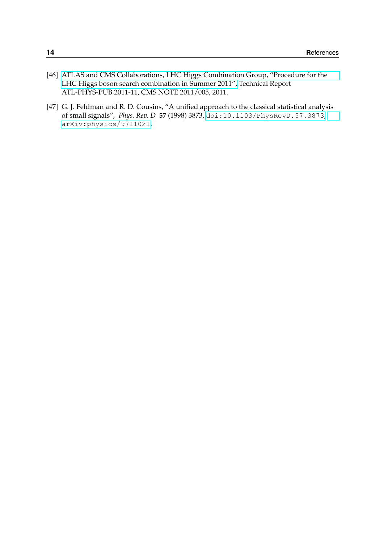- <span id="page-15-0"></span>[46] [ATLAS and CMS Collaborations, LHC Higgs Combination Group, "Procedure for the](http://cdsweb.cern.ch/record/1379837) [LHC Higgs boson search combination in Summer 2011",](http://cdsweb.cern.ch/record/1379837) Technical Report ATL-PHYS-PUB 2011-11, CMS NOTE 2011/005, 2011.
- <span id="page-15-1"></span>[47] G. J. Feldman and R. D. Cousins, "A unified approach to the classical statistical analysis of small signals", *Phys. Rev. D* **57** (1998) 3873, [doi:10.1103/PhysRevD.57.3873](http://dx.doi.org/10.1103/PhysRevD.57.3873), [arXiv:physics/9711021](http://www.arXiv.org/abs/physics/9711021).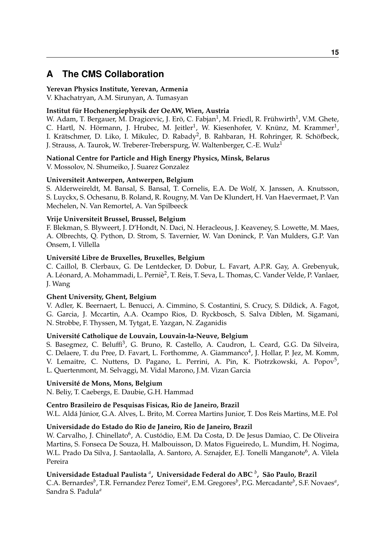# <span id="page-16-0"></span>**A The CMS Collaboration**

## **Yerevan Physics Institute, Yerevan, Armenia**

V. Khachatryan, A.M. Sirunyan, A. Tumasyan

## Institut für Hochenergiephysik der OeAW, Wien, Austria

W. Adam, T. Bergauer, M. Dragicevic, J. Erö, C. Fabjan<sup>1</sup>, M. Friedl, R. Frühwirth<sup>1</sup>, V.M. Ghete, C. Hartl, N. Hörmann, J. Hrubec, M. Jeitler<sup>1</sup>, W. Kiesenhofer, V. Knünz, M. Krammer<sup>1</sup>, I. Krätschmer, D. Liko, I. Mikulec, D. Rabady<sup>2</sup>, B. Rahbaran, H. Rohringer, R. Schöfbeck, J. Strauss, A. Taurok, W. Treberer-Treberspurg, W. Waltenberger, C.-E. Wulz<sup>1</sup>

**National Centre for Particle and High Energy Physics, Minsk, Belarus**

V. Mossolov, N. Shumeiko, J. Suarez Gonzalez

## **Universiteit Antwerpen, Antwerpen, Belgium**

S. Alderweireldt, M. Bansal, S. Bansal, T. Cornelis, E.A. De Wolf, X. Janssen, A. Knutsson, S. Luyckx, S. Ochesanu, B. Roland, R. Rougny, M. Van De Klundert, H. Van Haevermaet, P. Van Mechelen, N. Van Remortel, A. Van Spilbeeck

## **Vrije Universiteit Brussel, Brussel, Belgium**

F. Blekman, S. Blyweert, J. D'Hondt, N. Daci, N. Heracleous, J. Keaveney, S. Lowette, M. Maes, A. Olbrechts, Q. Python, D. Strom, S. Tavernier, W. Van Doninck, P. Van Mulders, G.P. Van Onsem, I. Villella

## **Universit´e Libre de Bruxelles, Bruxelles, Belgium**

C. Caillol, B. Clerbaux, G. De Lentdecker, D. Dobur, L. Favart, A.P.R. Gay, A. Grebenyuk, A. Léonard, A. Mohammadi, L. Perniè<sup>2</sup>, T. Reis, T. Seva, L. Thomas, C. Vander Velde, P. Vanlaer, J. Wang

## **Ghent University, Ghent, Belgium**

V. Adler, K. Beernaert, L. Benucci, A. Cimmino, S. Costantini, S. Crucy, S. Dildick, A. Fagot, G. Garcia, J. Mccartin, A.A. Ocampo Rios, D. Ryckbosch, S. Salva Diblen, M. Sigamani, N. Strobbe, F. Thyssen, M. Tytgat, E. Yazgan, N. Zaganidis

## **Universit´e Catholique de Louvain, Louvain-la-Neuve, Belgium**

S. Basegmez, C. Beluffi<sup>3</sup>, G. Bruno, R. Castello, A. Caudron, L. Ceard, G.G. Da Silveira,

C. Delaere, T. du Pree, D. Favart, L. Forthomme, A. Giammanco<sup>4</sup>, J. Hollar, P. Jez, M. Komm,

V. Lemaitre, C. Nuttens, D. Pagano, L. Perrini, A. Pin, K. Piotrzkowski, A. Popov<sup>5</sup>,

L. Quertenmont, M. Selvaggi, M. Vidal Marono, J.M. Vizan Garcia

## **Universit´e de Mons, Mons, Belgium**

N. Beliy, T. Caebergs, E. Daubie, G.H. Hammad

## **Centro Brasileiro de Pesquisas Fisicas, Rio de Janeiro, Brazil**

W.L. Aldá Júnior, G.A. Alves, L. Brito, M. Correa Martins Junior, T. Dos Reis Martins, M.E. Pol

## **Universidade do Estado do Rio de Janeiro, Rio de Janeiro, Brazil**

W. Carvalho, J. Chinellato<sup>6</sup>, A. Custódio, E.M. Da Costa, D. De Jesus Damiao, C. De Oliveira Martins, S. Fonseca De Souza, H. Malbouisson, D. Matos Figueiredo, L. Mundim, H. Nogima, W.L. Prado Da Silva, J. Santaolalla, A. Santoro, A. Sznajder, E.J. Tonelli Manganote<sup>6</sup>, A. Vilela Pereira

**Universidade Estadual Paulista** *<sup>a</sup>* **, Universidade Federal do ABC** *<sup>b</sup>* **, S ˜ao Paulo, Brazil** C.A. Bernardes*<sup>b</sup>* , T.R. Fernandez Perez Tomei*<sup>a</sup>* , E.M. Gregores*<sup>b</sup>* , P.G. Mercadante*<sup>b</sup>* , S.F. Novaes*<sup>a</sup>* , Sandra S. Padula*<sup>a</sup>*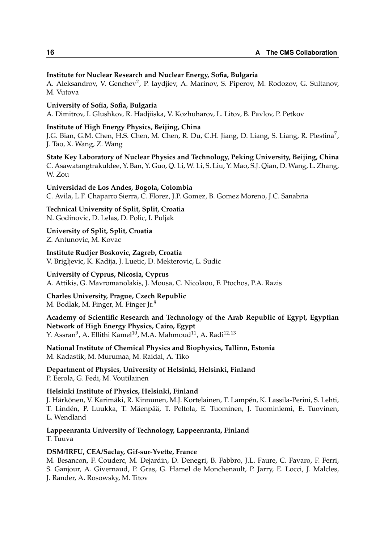## **Institute for Nuclear Research and Nuclear Energy, Sofia, Bulgaria**

A. Aleksandrov, V. Genchev<sup>2</sup>, P. Iaydjiev, A. Marinov, S. Piperov, M. Rodozov, G. Sultanov, M. Vutova

**University of Sofia, Sofia, Bulgaria** A. Dimitrov, I. Glushkov, R. Hadjiiska, V. Kozhuharov, L. Litov, B. Pavlov, P. Petkov

## **Institute of High Energy Physics, Beijing, China**

J.G. Bian, G.M. Chen, H.S. Chen, M. Chen, R. Du, C.H. Jiang, D. Liang, S. Liang, R. Plestina<sup>7</sup>, J. Tao, X. Wang, Z. Wang

**State Key Laboratory of Nuclear Physics and Technology, Peking University, Beijing, China** C. Asawatangtrakuldee, Y. Ban, Y. Guo, Q. Li, W. Li, S. Liu, Y. Mao, S.J. Qian, D. Wang, L. Zhang, W. Zou

**Universidad de Los Andes, Bogota, Colombia** C. Avila, L.F. Chaparro Sierra, C. Florez, J.P. Gomez, B. Gomez Moreno, J.C. Sanabria

**Technical University of Split, Split, Croatia** N. Godinovic, D. Lelas, D. Polic, I. Puljak

**University of Split, Split, Croatia** Z. Antunovic, M. Kovac

**Institute Rudjer Boskovic, Zagreb, Croatia** V. Brigljevic, K. Kadija, J. Luetic, D. Mekterovic, L. Sudic

**University of Cyprus, Nicosia, Cyprus** A. Attikis, G. Mavromanolakis, J. Mousa, C. Nicolaou, F. Ptochos, P.A. Razis

**Charles University, Prague, Czech Republic** M. Bodlak, M. Finger, M. Finger Jr.<sup>8</sup>

**Academy of Scientific Research and Technology of the Arab Republic of Egypt, Egyptian Network of High Energy Physics, Cairo, Egypt** Y. Assran<sup>9</sup>, A. Ellithi Kamel<sup>10</sup>, M.A. Mahmoud<sup>11</sup>, A. Radi<sup>12,13</sup>

**National Institute of Chemical Physics and Biophysics, Tallinn, Estonia** M. Kadastik, M. Murumaa, M. Raidal, A. Tiko

**Department of Physics, University of Helsinki, Helsinki, Finland** P. Eerola, G. Fedi, M. Voutilainen

## **Helsinki Institute of Physics, Helsinki, Finland**

J. Härkönen, V. Karimäki, R. Kinnunen, M.J. Kortelainen, T. Lampén, K. Lassila-Perini, S. Lehti, T. Lindén, P. Luukka, T. Mäenpää, T. Peltola, E. Tuominen, J. Tuominiemi, E. Tuovinen, L. Wendland

**Lappeenranta University of Technology, Lappeenranta, Finland** T. Tuuva

## **DSM/IRFU, CEA/Saclay, Gif-sur-Yvette, France**

M. Besancon, F. Couderc, M. Dejardin, D. Denegri, B. Fabbro, J.L. Faure, C. Favaro, F. Ferri, S. Ganjour, A. Givernaud, P. Gras, G. Hamel de Monchenault, P. Jarry, E. Locci, J. Malcles, J. Rander, A. Rosowsky, M. Titov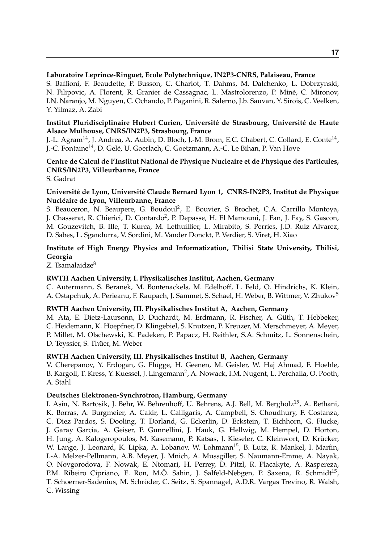#### **Laboratoire Leprince-Ringuet, Ecole Polytechnique, IN2P3-CNRS, Palaiseau, France**

S. Baffioni, F. Beaudette, P. Busson, C. Charlot, T. Dahms, M. Dalchenko, L. Dobrzynski, N. Filipovic, A. Florent, R. Granier de Cassagnac, L. Mastrolorenzo, P. Mine, C. Mironov, ´ I.N. Naranjo, M. Nguyen, C. Ochando, P. Paganini, R. Salerno, J.b. Sauvan, Y. Sirois, C. Veelken, Y. Yilmaz, A. Zabi

## Institut Pluridisciplinaire Hubert Curien, Université de Strasbourg, Université de Haute **Alsace Mulhouse, CNRS/IN2P3, Strasbourg, France**

J.-L. Agram<sup>14</sup>, J. Andrea, A. Aubin, D. Bloch, J.-M. Brom, E.C. Chabert, C. Collard, E. Conte<sup>14</sup>, J.-C. Fontaine<sup>14</sup>, D. Gelé, U. Goerlach, C. Goetzmann, A.-C. Le Bihan, P. Van Hove

# **Centre de Calcul de l'Institut National de Physique Nucleaire et de Physique des Particules, CNRS/IN2P3, Villeurbanne, France**

S. Gadrat

## **Université de Lyon, Université Claude Bernard Lyon 1, CNRS-IN2P3, Institut de Physique Nucl´eaire de Lyon, Villeurbanne, France**

S. Beauceron, N. Beaupere, G. Boudoul<sup>2</sup>, E. Bouvier, S. Brochet, C.A. Carrillo Montoya, J. Chasserat, R. Chierici, D. Contardo<sup>2</sup>, P. Depasse, H. El Mamouni, J. Fan, J. Fay, S. Gascon, M. Gouzevitch, B. Ille, T. Kurca, M. Lethuillier, L. Mirabito, S. Perries, J.D. Ruiz Alvarez, D. Sabes, L. Sgandurra, V. Sordini, M. Vander Donckt, P. Verdier, S. Viret, H. Xiao

## **Institute of High Energy Physics and Informatization, Tbilisi State University, Tbilisi, Georgia**

Z. Tsamalaidze $8$ 

## **RWTH Aachen University, I. Physikalisches Institut, Aachen, Germany**

C. Autermann, S. Beranek, M. Bontenackels, M. Edelhoff, L. Feld, O. Hindrichs, K. Klein, A. Ostapchuk, A. Perieanu, F. Raupach, J. Sammet, S. Schael, H. Weber, B. Wittmer, V. Zhukov<sup>5</sup>

## **RWTH Aachen University, III. Physikalisches Institut A, Aachen, Germany**

M. Ata, E. Dietz-Laursonn, D. Duchardt, M. Erdmann, R. Fischer, A. Güth, T. Hebbeker, C. Heidemann, K. Hoepfner, D. Klingebiel, S. Knutzen, P. Kreuzer, M. Merschmeyer, A. Meyer, P. Millet, M. Olschewski, K. Padeken, P. Papacz, H. Reithler, S.A. Schmitz, L. Sonnenschein, D. Teyssier, S. Thüer, M. Weber

## **RWTH Aachen University, III. Physikalisches Institut B, Aachen, Germany**

V. Cherepanov, Y. Erdogan, G. Flugge, H. Geenen, M. Geisler, W. Haj Ahmad, F. Hoehle, ¨ B. Kargoll, T. Kress, Y. Kuessel, J. Lingemann<sup>2</sup>, A. Nowack, I.M. Nugent, L. Perchalla, O. Pooth, A. Stahl

### **Deutsches Elektronen-Synchrotron, Hamburg, Germany**

I. Asin, N. Bartosik, J. Behr, W. Behrenhoff, U. Behrens, A.J. Bell, M. Bergholz<sup>15</sup>, A. Bethani, K. Borras, A. Burgmeier, A. Cakir, L. Calligaris, A. Campbell, S. Choudhury, F. Costanza, C. Diez Pardos, S. Dooling, T. Dorland, G. Eckerlin, D. Eckstein, T. Eichhorn, G. Flucke, J. Garay Garcia, A. Geiser, P. Gunnellini, J. Hauk, G. Hellwig, M. Hempel, D. Horton, H. Jung, A. Kalogeropoulos, M. Kasemann, P. Katsas, J. Kieseler, C. Kleinwort, D. Krücker, W. Lange, J. Leonard, K. Lipka, A. Lobanov, W. Lohmann<sup>15</sup>, B. Lutz, R. Mankel, I. Marfin, I.-A. Melzer-Pellmann, A.B. Meyer, J. Mnich, A. Mussgiller, S. Naumann-Emme, A. Nayak, O. Novgorodova, F. Nowak, E. Ntomari, H. Perrey, D. Pitzl, R. Placakyte, A. Raspereza, P.M. Ribeiro Cipriano, E. Ron, M.Ö. Sahin, J. Salfeld-Nebgen, P. Saxena, R. Schmidt<sup>15</sup>, T. Schoerner-Sadenius, M. Schröder, C. Seitz, S. Spannagel, A.D.R. Vargas Trevino, R. Walsh, C. Wissing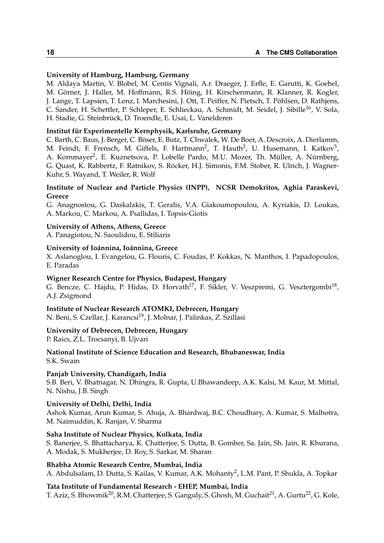#### **University of Hamburg, Hamburg, Germany**

M. Aldaya Martin, V. Blobel, M. Centis Vignali, A.r. Draeger, J. Erfle, E. Garutti, K. Goebel, M. Görner, J. Haller, M. Hoffmann, R.S. Höing, H. Kirschenmann, R. Klanner, R. Kogler, J. Lange, T. Lapsien, T. Lenz, I. Marchesini, J. Ott, T. Peiffer, N. Pietsch, T. Pohlsen, D. Rathjens, ¨ C. Sander, H. Schettler, P. Schleper, E. Schlieckau, A. Schmidt, M. Seidel, J. Sibille<sup>16</sup>, V. Sola, H. Stadie, G. Steinbrück, D. Troendle, E. Usai, L. Vanelderen

## Institut für Experimentelle Kernphysik, Karlsruhe, Germany

C. Barth, C. Baus, J. Berger, C. Böser, E. Butz, T. Chwalek, W. De Boer, A. Descroix, A. Dierlamm, M. Feindt, F. Frensch, M. Giffels, F. Hartmann<sup>2</sup>, T. Hauth<sup>2</sup>, U. Husemann, I. Katkov<sup>5</sup>, A. Kornmayer<sup>2</sup>, E. Kuznetsova, P. Lobelle Pardo, M.U. Mozer, Th. Müller, A. Nürnberg, G. Quast, K. Rabbertz, F. Ratnikov, S. Röcker, H.J. Simonis, F.M. Stober, R. Ulrich, J. Wagner-Kuhr, S. Wayand, T. Weiler, R. Wolf

## **Institute of Nuclear and Particle Physics (INPP), NCSR Demokritos, Aghia Paraskevi, Greece**

G. Anagnostou, G. Daskalakis, T. Geralis, V.A. Giakoumopoulou, A. Kyriakis, D. Loukas, A. Markou, C. Markou, A. Psallidas, I. Topsis-Giotis

## **University of Athens, Athens, Greece**

A. Panagiotou, N. Saoulidou, E. Stiliaris

#### **University of Ioánnina, Ioánnina, Greece**

X. Aslanoglou, I. Evangelou, G. Flouris, C. Foudas, P. Kokkas, N. Manthos, I. Papadopoulos, E. Paradas

## **Wigner Research Centre for Physics, Budapest, Hungary**

G. Bencze, C. Hajdu, P. Hidas, D. Horvath<sup>17</sup>, F. Sikler, V. Veszpremi, G. Vesztergombi<sup>18</sup>, A.J. Zsigmond

## **Institute of Nuclear Research ATOMKI, Debrecen, Hungary**

N. Beni, S. Czellar, J. Karancsi<sup>19</sup>, J. Molnar, J. Palinkas, Z. Szillasi

## **University of Debrecen, Debrecen, Hungary**

P. Raics, Z.L. Trocsanyi, B. Ujvari

**National Institute of Science Education and Research, Bhubaneswar, India** S.K. Swain

## **Panjab University, Chandigarh, India**

S.B. Beri, V. Bhatnagar, N. Dhingra, R. Gupta, U.Bhawandeep, A.K. Kalsi, M. Kaur, M. Mittal, N. Nishu, J.B. Singh

#### **University of Delhi, Delhi, India**

Ashok Kumar, Arun Kumar, S. Ahuja, A. Bhardwaj, B.C. Choudhary, A. Kumar, S. Malhotra, M. Naimuddin, K. Ranjan, V. Sharma

#### **Saha Institute of Nuclear Physics, Kolkata, India**

S. Banerjee, S. Bhattacharya, K. Chatterjee, S. Dutta, B. Gomber, Sa. Jain, Sh. Jain, R. Khurana, A. Modak, S. Mukherjee, D. Roy, S. Sarkar, M. Sharan

## **Bhabha Atomic Research Centre, Mumbai, India** A. Abdulsalam, D. Dutta, S. Kailas, V. Kumar, A.K. Mohanty<sup>2</sup>, L.M. Pant, P. Shukla, A. Topkar

**Tata Institute of Fundamental Research - EHEP, Mumbai, India** T. Aziz, S. Bhowmik<sup>20</sup>, R.M. Chatterjee, S. Ganguly, S. Ghosh, M. Guchait<sup>21</sup>, A. Gurtu<sup>22</sup>, G. Kole,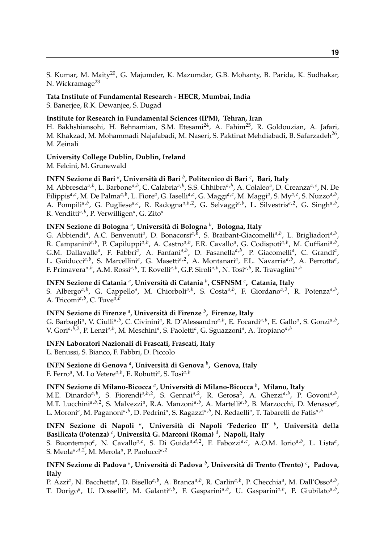S. Kumar, M. Maity20, G. Majumder, K. Mazumdar, G.B. Mohanty, B. Parida, K. Sudhakar, N. Wickramage<sup>23</sup>

#### **Tata Institute of Fundamental Research - HECR, Mumbai, India**

S. Banerjee, R.K. Dewanjee, S. Dugad

## **Institute for Research in Fundamental Sciences (IPM), Tehran, Iran**

H. Bakhshiansohi, H. Behnamian, S.M. Etesami<sup>24</sup>, A. Fahim<sup>25</sup>, R. Goldouzian, A. Jafari, M. Khakzad, M. Mohammadi Najafabadi, M. Naseri, S. Paktinat Mehdiabadi, B. Safarzadeh<sup>26</sup>, M. Zeinali

# **University College Dublin, Dublin, Ireland**

M. Felcini, M. Grunewald

## **INFN Sezione di Bari** *<sup>a</sup>* **, Universit`a di Bari** *<sup>b</sup>* **, Politecnico di Bari** *<sup>c</sup>* **, Bari, Italy**

M. Abbrescia*a*,*<sup>b</sup>* , L. Barbone*a*,*<sup>b</sup>* , C. Calabria*a*,*<sup>b</sup>* , S.S. Chhibra*a*,*<sup>b</sup>* , A. Colaleo*<sup>a</sup>* , D. Creanza*a*,*<sup>c</sup>* , N. De Filippis*a*,*<sup>c</sup>* , M. De Palma*a*,*<sup>b</sup>* , L. Fiore*<sup>a</sup>* , G. Iaselli*a*,*<sup>c</sup>* , G. Maggi*a*,*<sup>c</sup>* , M. Maggi*<sup>a</sup>* , S. My*a*,*<sup>c</sup>* , S. Nuzzo*a*,*<sup>b</sup>* , A. Pompili<sup>a,b</sup>, G. Pugliese<sup>a,c</sup>, R. Radogna<sup>a,b,2</sup>, G. Selvaggi<sup>a,b</sup>, L. Silvestris<sup>a,2</sup>, G. Singh<sup>a,b</sup>, R. Venditti*a*,*<sup>b</sup>* , P. Verwilligen*<sup>a</sup>* , G. Zito*<sup>a</sup>*

## **INFN Sezione di Bologna** *<sup>a</sup>* **, Universit`a di Bologna** *<sup>b</sup>* **, Bologna, Italy**

G. Abbiendi<sup>a</sup>, A.C. Benvenuti<sup>a</sup>, D. Bonacorsi<sup>a,*b*</sup>, S. Braibant-Giacomelli<sup>a,*b*</sup>, L. Brigliadori<sup>a,*b*</sup>, R. Campanini<sup>a,b</sup>, P. Capiluppi<sup>a,b</sup>, A. Castro<sup>a,b</sup>, F.R. Cavallo<sup>a</sup>, G. Codispoti<sup>a,b</sup>, M. Cuffiani<sup>a,b</sup>, G.M. Dallavalle<sup>a</sup>, F. Fabbri<sup>a</sup>, A. Fanfani<sup>a,b</sup>, D. Fasanella<sup>a,b</sup>, P. Giacomelli<sup>a</sup>, C. Grandi<sup>a</sup>, L. Guiducci<sup>a,b</sup>, S. Marcellini<sup>a</sup>, G. Masetti<sup>a,2</sup>, A. Montanari<sup>a</sup>, F.L. Navarria<sup>a,b</sup>, A. Perrotta<sup>a</sup>, F. Primavera*a*,*<sup>b</sup>* , A.M. Rossi*a*,*<sup>b</sup>* , T. Rovelli*a*,*<sup>b</sup>* , G.P. Siroli*a*,*<sup>b</sup>* , N. Tosi*a*,*<sup>b</sup>* , R. Travaglini*a*,*<sup>b</sup>*

## **INFN Sezione di Catania** *<sup>a</sup>* **, Universit`a di Catania** *<sup>b</sup>* **, CSFNSM** *<sup>c</sup>* **, Catania, Italy**

S. Albergo<sup>a,*b*</sup>, G. Cappello<sup>a</sup>, M. Chiorboli<sup>a,*b*</sup>, S. Costa<sup>a,*b*</sup>, F. Giordano<sup>a,2</sup>, R. Potenza<sup>a,*b*</sup>, A. Tricomi*a*,*<sup>b</sup>* , C. Tuve*a*,*<sup>b</sup>*

## **INFN Sezione di Firenze** *<sup>a</sup>* **, Universit`a di Firenze** *<sup>b</sup>* **, Firenze, Italy**

G. Barbagli*<sup>a</sup>* , V. Ciulli*a*,*<sup>b</sup>* , C. Civinini*<sup>a</sup>* , R. D'Alessandro*a*,*<sup>b</sup>* , E. Focardi*a*,*<sup>b</sup>* , E. Gallo*<sup>a</sup>* , S. Gonzi*a*,*<sup>b</sup>* , V. Gori*a*,*b*,2, P. Lenzi*a*,*<sup>b</sup>* , M. Meschini*<sup>a</sup>* , S. Paoletti*<sup>a</sup>* , G. Sguazzoni*<sup>a</sup>* , A. Tropiano*a*,*<sup>b</sup>*

**INFN Laboratori Nazionali di Frascati, Frascati, Italy**

L. Benussi, S. Bianco, F. Fabbri, D. Piccolo

**INFN Sezione di Genova** *<sup>a</sup>* **, Universit`a di Genova** *<sup>b</sup>* **, Genova, Italy** F. Ferro*<sup>a</sup>* , M. Lo Vetere*a*,*<sup>b</sup>* , E. Robutti*<sup>a</sup>* , S. Tosi*a*,*<sup>b</sup>*

## **INFN Sezione di Milano-Bicocca** *<sup>a</sup>* **, Universit`a di Milano-Bicocca** *<sup>b</sup>* **, Milano, Italy**

M.E. Dinardo<sup>a,*b*</sup>, S. Fiorendi<sup>a,*b*,2</sup>, S. Gennai<sup>a,2</sup>, R. Gerosa<sup>2</sup>, A. Ghezzi<sup>a,*b*</sup>, P. Govoni<sup>a,*b*</sup>, M.T. Lucchini<sup>a,b,2</sup>, S. Malvezzi<sup>a</sup>, R.A. Manzoni<sup>a,b</sup>, A. Martelli<sup>a,b</sup>, B. Marzocchi, D. Menasce<sup>a</sup>, L. Moroni<sup>a</sup>, M. Paganoni<sup>a,b</sup>, D. Pedrini<sup>a</sup>, S. Ragazzi<sup>a,b</sup>, N. Redaelli<sup>a</sup>, T. Tabarelli de Fatis<sup>a,b</sup>

## INFN Sezione di Napoli <sup>a</sup>, Università di Napoli 'Federico II' <sup>b</sup>, Università della **Basilicata (Potenza)** *<sup>c</sup>* **, Universit`a G. Marconi (Roma)** *<sup>d</sup>* **, Napoli, Italy**

S. Buontempo<sup>a</sup>, N. Cavallo<sup>a,c</sup>, S. Di Guida<sup>a,d,2</sup>, F. Fabozzi<sup>a,c</sup>, A.O.M. Iorio<sup>a,b</sup>, L. Lista<sup>a</sup>, S. Meola*a*,*d*,2, M. Merola*<sup>a</sup>* , P. Paolucci*a*,2

## INFN Sezione di Padova <sup>a</sup>, Università di Padova <sup>b</sup>, Università di Trento (Trento) <sup>c</sup>, Padova, **Italy**

P. Azzi<sup>a</sup>, N. Bacchetta<sup>a</sup>, D. Bisello<sup>a,b</sup>, A. Branca<sup>a,b</sup>, R. Carlin<sup>a,b</sup>, P. Checchia<sup>a</sup>, M. Dall'Osso<sup>a,b</sup>, T. Dorigo<sup>a</sup>, U. Dosselli<sup>a</sup>, M. Galanti<sup>a,b</sup>, F. Gasparini<sup>a,b</sup>, U. Gasparini<sup>a,b</sup>, P. Giubilato<sup>a,b</sup>,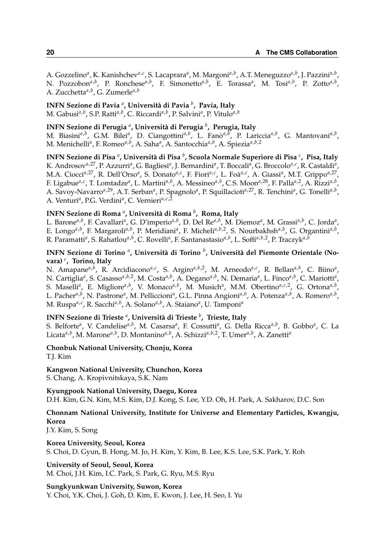A. Gozzelino<sup>a</sup>, K. Kanishchev<sup>a,c</sup>, S. Lacaprara<sup>a</sup>, M. Margoni<sup>a,b</sup>, A.T. Meneguzzo<sup>a,b</sup>, J. Pazzini<sup>a,b</sup>, N. Pozzobon*a*,*<sup>b</sup>* , P. Ronchese*a*,*<sup>b</sup>* , F. Simonetto*a*,*<sup>b</sup>* , E. Torassa*<sup>a</sup>* , M. Tosi*a*,*<sup>b</sup>* , P. Zotto*a*,*<sup>b</sup>* , A. Zucchetta*a*,*<sup>b</sup>* , G. Zumerle*a*,*<sup>b</sup>*

## **INFN Sezione di Pavia** *<sup>a</sup>* **, Universit`a di Pavia** *<sup>b</sup>* **, Pavia, Italy** M. Gabusi*a*,*<sup>b</sup>* , S.P. Ratti*a*,*<sup>b</sup>* , C. Riccardi*a*,*<sup>b</sup>* , P. Salvini*<sup>a</sup>* , P. Vitulo*a*,*<sup>b</sup>*

## **INFN Sezione di Perugia** *<sup>a</sup>* **, Universit`a di Perugia** *<sup>b</sup>* **, Perugia, Italy**

M. Biasini<sup>a,b</sup>, G.M. Bilei<sup>a</sup>, D. Ciangottini<sup>a,b</sup>, L. Fanò<sup>a,b</sup>, P. Lariccia<sup>a,b</sup>, G. Mantovani<sup>a,b</sup>, M. Menichelli*<sup>a</sup>* , F. Romeo*a*,*<sup>b</sup>* , A. Saha*<sup>a</sup>* , A. Santocchia*a*,*<sup>b</sup>* , A. Spiezia*a*,*b*,2

**INFN Sezione di Pisa** *<sup>a</sup>* **, Universit`a di Pisa** *<sup>b</sup>* **, Scuola Normale Superiore di Pisa** *<sup>c</sup>* **, Pisa, Italy** K. Androsov<sup>a,27</sup>, P. Azzurri<sup>a</sup>, G. Bagliesi<sup>a</sup>, J. Bernardini<sup>a</sup>, T. Boccali<sup>a</sup>, G. Broccolo<sup>a,c</sup>, R. Castaldi<sup>a</sup>, M.A. Ciocci<sup>a,27</sup>, R. Dell'Orso<sup>a</sup>, S. Donato<sup>a,*c*</sup>, F. Fiori<sup>a,*c*</sup>, L. Foà<sup>a,*c*</sup>, A. Giassi<sup>a</sup>, M.T. Grippo<sup>a,27</sup>, F. Ligabue*a*,*<sup>c</sup>* , T. Lomtadze*<sup>a</sup>* , L. Martini*a*,*<sup>b</sup>* , A. Messineo*a*,*<sup>b</sup>* , C.S. Moon*a*,28, F. Palla*a*,2, A. Rizzi*a*,*<sup>b</sup>* , A. Savoy-Navarro<sup>a,29</sup>, A.T. Serban<sup>a</sup>, P. Spagnolo<sup>a</sup>, P. Squillacioti<sup>a,27</sup>, R. Tenchini<sup>a</sup>, G. Tonelli<sup>a,b</sup>, A. Venturi*<sup>a</sup>* , P.G. Verdini*<sup>a</sup>* , C. Vernieri*a*,*c*,2

## **INFN Sezione di Roma** *<sup>a</sup>* **, Universit`a di Roma** *<sup>b</sup>* **, Roma, Italy**

L. Barone<sup>a,b</sup>, F. Cavallari<sup>a</sup>, G. D'imperio<sup>a,b</sup>, D. Del Re<sup>a,b</sup>, M. Diemoz<sup>a</sup>, M. Grassi<sup>a,b</sup>, C. Jorda<sup>a</sup>, E. Longo<sup>a,*b*</sup>, F. Margaroli<sup>a,*b*</sup>, P. Meridiani<sup>a</sup>, F. Micheli<sup>a,*b*,2</sup>, S. Nourbakhsh<sup>a,*b*</sup>, G. Organtini<sup>a,*b*</sup>, R. Paramatti*<sup>a</sup>* , S. Rahatlou*a*,*<sup>b</sup>* , C. Rovelli*<sup>a</sup>* , F. Santanastasio*a*,*<sup>b</sup>* , L. Soffi*a*,*b*,2, P. Traczyk*a*,*<sup>b</sup>*

## INFN Sezione di Torino <sup>a</sup>, Università di Torino <sup>b</sup>, Università del Piemonte Orientale (No**vara)** *<sup>c</sup>* **, Torino, Italy**

N. Amapane*a*,*<sup>b</sup>* , R. Arcidiacono*a*,*<sup>c</sup>* , S. Argiro*a*,*b*,2, M. Arneodo*a*,*<sup>c</sup>* , R. Bellan*a*,*<sup>b</sup>* , C. Biino*<sup>a</sup>* , N. Cartiglia*<sup>a</sup>* , S. Casasso*a*,*b*,2, M. Costa*a*,*<sup>b</sup>* , A. Degano*a*,*<sup>b</sup>* , N. Demaria*<sup>a</sup>* , L. Finco*a*,*<sup>b</sup>* , C. Mariotti*<sup>a</sup>* , S. Maselli<sup>a</sup>, E. Migliore<sup>a,b</sup>, V. Monaco<sup>a,b</sup>, M. Musich<sup>a</sup>, M.M. Obertino<sup>a,c,2</sup>, G. Ortona<sup>a,b</sup>, L. Pacher<sup>a,*b*</sup>, N. Pastrone<sup>a</sup>, M. Pelliccioni<sup>a</sup>, G.L. Pinna Angioni<sup>a,*b*</sup>, A. Potenza<sup>a,*b*</sup>, A. Romero<sup>a,*b*</sup>, M. Ruspa*a*,*<sup>c</sup>* , R. Sacchi*a*,*<sup>b</sup>* , A. Solano*a*,*<sup>b</sup>* , A. Staiano*<sup>a</sup>* , U. Tamponi*<sup>a</sup>*

## **INFN Sezione di Trieste** *<sup>a</sup>* **, Universit`a di Trieste** *<sup>b</sup>* **, Trieste, Italy**

S. Belforte*<sup>a</sup>* , V. Candelise*a*,*<sup>b</sup>* , M. Casarsa*<sup>a</sup>* , F. Cossutti*<sup>a</sup>* , G. Della Ricca*a*,*<sup>b</sup>* , B. Gobbo*<sup>a</sup>* , C. La Licata*a*,*<sup>b</sup>* , M. Marone*a*,*<sup>b</sup>* , D. Montanino*a*,*<sup>b</sup>* , A. Schizzi*a*,*b*,2, T. Umer*a*,*<sup>b</sup>* , A. Zanetti*<sup>a</sup>*

**Chonbuk National University, Chonju, Korea** T.J. Kim

**Kangwon National University, Chunchon, Korea** S. Chang, A. Kropivnitskaya, S.K. Nam

**Kyungpook National University, Daegu, Korea** D.H. Kim, G.N. Kim, M.S. Kim, D.J. Kong, S. Lee, Y.D. Oh, H. Park, A. Sakharov, D.C. Son

## **Chonnam National University, Institute for Universe and Elementary Particles, Kwangju, Korea**

J.Y. Kim, S. Song

**Korea University, Seoul, Korea** S. Choi, D. Gyun, B. Hong, M. Jo, H. Kim, Y. Kim, B. Lee, K.S. Lee, S.K. Park, Y. Roh

**University of Seoul, Seoul, Korea** M. Choi, J.H. Kim, I.C. Park, S. Park, G. Ryu, M.S. Ryu

**Sungkyunkwan University, Suwon, Korea** Y. Choi, Y.K. Choi, J. Goh, D. Kim, E. Kwon, J. Lee, H. Seo, I. Yu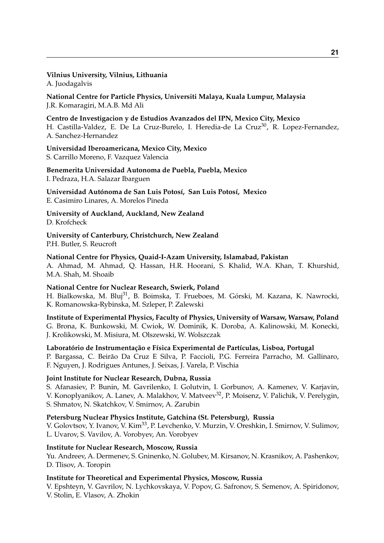**Vilnius University, Vilnius, Lithuania** A. Juodagalvis

**National Centre for Particle Physics, Universiti Malaya, Kuala Lumpur, Malaysia** J.R. Komaragiri, M.A.B. Md Ali

## **Centro de Investigacion y de Estudios Avanzados del IPN, Mexico City, Mexico**

H. Castilla-Valdez, E. De La Cruz-Burelo, I. Heredia-de La Cruz<sup>30</sup>, R. Lopez-Fernandez, A. Sanchez-Hernandez

# **Universidad Iberoamericana, Mexico City, Mexico**

S. Carrillo Moreno, F. Vazquez Valencia

## **Benemerita Universidad Autonoma de Puebla, Puebla, Mexico** I. Pedraza, H.A. Salazar Ibarguen

**Universidad Autónoma de San Luis Potosí, San Luis Potosí, Mexico** E. Casimiro Linares, A. Morelos Pineda

## **University of Auckland, Auckland, New Zealand** D. Krofcheck

**University of Canterbury, Christchurch, New Zealand** P.H. Butler, S. Reucroft

## **National Centre for Physics, Quaid-I-Azam University, Islamabad, Pakistan**

A. Ahmad, M. Ahmad, Q. Hassan, H.R. Hoorani, S. Khalid, W.A. Khan, T. Khurshid, M.A. Shah, M. Shoaib

## **National Centre for Nuclear Research, Swierk, Poland**

H. Bialkowska, M. Bluj<sup>31</sup>, B. Boimska, T. Frueboes, M. Górski, M. Kazana, K. Nawrocki, K. Romanowska-Rybinska, M. Szleper, P. Zalewski

## **Institute of Experimental Physics, Faculty of Physics, University of Warsaw, Warsaw, Poland** G. Brona, K. Bunkowski, M. Cwiok, W. Dominik, K. Doroba, A. Kalinowski, M. Konecki, J. Krolikowski, M. Misiura, M. Olszewski, W. Wolszczak

Laboratório de Instrumentação e Física Experimental de Partículas, Lisboa, Portugal P. Bargassa, C. Beirão Da Cruz E Silva, P. Faccioli, P.G. Ferreira Parracho, M. Gallinaro, F. Nguyen, J. Rodrigues Antunes, J. Seixas, J. Varela, P. Vischia

## **Joint Institute for Nuclear Research, Dubna, Russia**

S. Afanasiev, P. Bunin, M. Gavrilenko, I. Golutvin, I. Gorbunov, A. Kamenev, V. Karjavin, V. Konoplyanikov, A. Lanev, A. Malakhov, V. Matveev<sup>32</sup>, P. Moisenz, V. Palichik, V. Perelygin, S. Shmatov, N. Skatchkov, V. Smirnov, A. Zarubin

## **Petersburg Nuclear Physics Institute, Gatchina (St. Petersburg), Russia**

V. Golovtsov, Y. Ivanov, V. Kim33, P. Levchenko, V. Murzin, V. Oreshkin, I. Smirnov, V. Sulimov, L. Uvarov, S. Vavilov, A. Vorobyev, An. Vorobyev

## **Institute for Nuclear Research, Moscow, Russia**

Yu. Andreev, A. Dermenev, S. Gninenko, N. Golubev, M. Kirsanov, N. Krasnikov, A. Pashenkov, D. Tlisov, A. Toropin

## **Institute for Theoretical and Experimental Physics, Moscow, Russia**

V. Epshteyn, V. Gavrilov, N. Lychkovskaya, V. Popov, G. Safronov, S. Semenov, A. Spiridonov, V. Stolin, E. Vlasov, A. Zhokin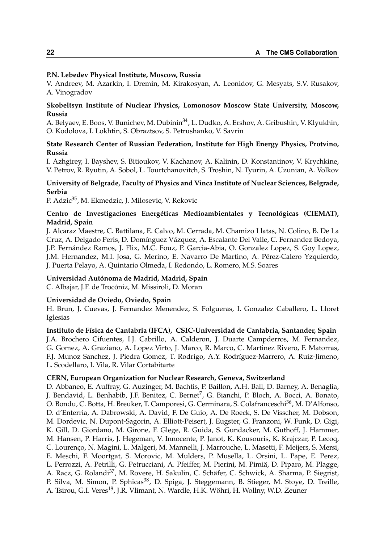#### **P.N. Lebedev Physical Institute, Moscow, Russia**

V. Andreev, M. Azarkin, I. Dremin, M. Kirakosyan, A. Leonidov, G. Mesyats, S.V. Rusakov, A. Vinogradov

## **Skobeltsyn Institute of Nuclear Physics, Lomonosov Moscow State University, Moscow, Russia**

A. Belyaev, E. Boos, V. Bunichev, M. Dubinin<sup>34</sup>, L. Dudko, A. Ershov, A. Gribushin, V. Klyukhin, O. Kodolova, I. Lokhtin, S. Obraztsov, S. Petrushanko, V. Savrin

## **State Research Center of Russian Federation, Institute for High Energy Physics, Protvino, Russia**

I. Azhgirey, I. Bayshev, S. Bitioukov, V. Kachanov, A. Kalinin, D. Konstantinov, V. Krychkine, V. Petrov, R. Ryutin, A. Sobol, L. Tourtchanovitch, S. Troshin, N. Tyurin, A. Uzunian, A. Volkov

## **University of Belgrade, Faculty of Physics and Vinca Institute of Nuclear Sciences, Belgrade, Serbia**

P. Adzic35, M. Ekmedzic, J. Milosevic, V. Rekovic

## Centro de Investigaciones Energéticas Medioambientales y Tecnológicas (CIEMAT), **Madrid, Spain**

J. Alcaraz Maestre, C. Battilana, E. Calvo, M. Cerrada, M. Chamizo Llatas, N. Colino, B. De La Cruz, A. Delgado Peris, D. Domínguez Vázquez, A. Escalante Del Valle, C. Fernandez Bedoya, J.P. Fernández Ramos, J. Flix, M.C. Fouz, P. Garcia-Abia, O. Gonzalez Lopez, S. Goy Lopez, J.M. Hernandez, M.I. Josa, G. Merino, E. Navarro De Martino, A. Pérez-Calero Yzquierdo, J. Puerta Pelayo, A. Quintario Olmeda, I. Redondo, L. Romero, M.S. Soares

#### **Universidad Autónoma de Madrid, Madrid, Spain**

C. Albajar, J.F. de Trocóniz, M. Missiroli, D. Moran

#### **Universidad de Oviedo, Oviedo, Spain**

H. Brun, J. Cuevas, J. Fernandez Menendez, S. Folgueras, I. Gonzalez Caballero, L. Lloret Iglesias

Instituto de Física de Cantabria (IFCA), CSIC-Universidad de Cantabria, Santander, Spain J.A. Brochero Cifuentes, I.J. Cabrillo, A. Calderon, J. Duarte Campderros, M. Fernandez, G. Gomez, A. Graziano, A. Lopez Virto, J. Marco, R. Marco, C. Martinez Rivero, F. Matorras, F.J. Munoz Sanchez, J. Piedra Gomez, T. Rodrigo, A.Y. Rodríguez-Marrero, A. Ruiz-Jimeno, L. Scodellaro, I. Vila, R. Vilar Cortabitarte

#### **CERN, European Organization for Nuclear Research, Geneva, Switzerland**

D. Abbaneo, E. Auffray, G. Auzinger, M. Bachtis, P. Baillon, A.H. Ball, D. Barney, A. Benaglia, J. Bendavid, L. Benhabib, J.F. Benitez, C. Bernet<sup>7</sup>, G. Bianchi, P. Bloch, A. Bocci, A. Bonato, O. Bondu, C. Botta, H. Breuker, T. Camporesi, G. Cerminara, S. Colafranceschi<sup>36</sup>, M. D'Alfonso, D. d'Enterria, A. Dabrowski, A. David, F. De Guio, A. De Roeck, S. De Visscher, M. Dobson, M. Dordevic, N. Dupont-Sagorin, A. Elliott-Peisert, J. Eugster, G. Franzoni, W. Funk, D. Gigi, K. Gill, D. Giordano, M. Girone, F. Glege, R. Guida, S. Gundacker, M. Guthoff, J. Hammer, M. Hansen, P. Harris, J. Hegeman, V. Innocente, P. Janot, K. Kousouris, K. Krajczar, P. Lecoq, C. Lourenço, N. Magini, L. Malgeri, M. Mannelli, J. Marrouche, L. Masetti, F. Meijers, S. Mersi, E. Meschi, F. Moortgat, S. Morovic, M. Mulders, P. Musella, L. Orsini, L. Pape, E. Perez, L. Perrozzi, A. Petrilli, G. Petrucciani, A. Pfeiffer, M. Pierini, M. Pimia, D. Piparo, M. Plagge, ¨ A. Racz, G. Rolandi<sup>37</sup>, M. Rovere, H. Sakulin, C. Schäfer, C. Schwick, A. Sharma, P. Siegrist, P. Silva, M. Simon, P. Sphicas<sup>38</sup>, D. Spiga, J. Steggemann, B. Stieger, M. Stoye, D. Treille, A. Tsirou, G.I. Veres<sup>18</sup>, J.R. Vlimant, N. Wardle, H.K. Wöhri, H. Wollny, W.D. Zeuner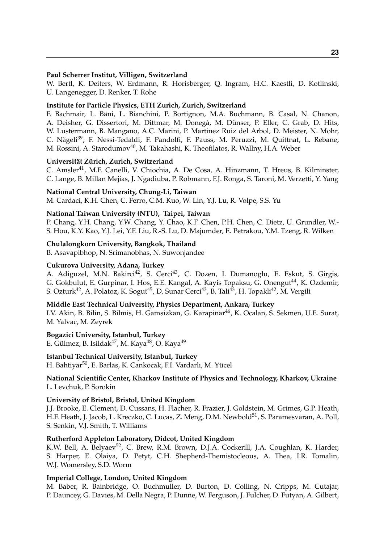#### **Paul Scherrer Institut, Villigen, Switzerland**

W. Bertl, K. Deiters, W. Erdmann, R. Horisberger, Q. Ingram, H.C. Kaestli, D. Kotlinski, U. Langenegger, D. Renker, T. Rohe

#### **Institute for Particle Physics, ETH Zurich, Zurich, Switzerland**

F. Bachmair, L. Bäni, L. Bianchini, P. Bortignon, M.A. Buchmann, B. Casal, N. Chanon, A. Deisher, G. Dissertori, M. Dittmar, M. Donegà, M. Dünser, P. Eller, C. Grab, D. Hits, W. Lustermann, B. Mangano, A.C. Marini, P. Martinez Ruiz del Arbol, D. Meister, N. Mohr, C. Nägeli<sup>39</sup>, F. Nessi-Tedaldi, F. Pandolfi, F. Pauss, M. Peruzzi, M. Quittnat, L. Rebane, M. Rossini, A. Starodumov<sup>40</sup>, M. Takahashi, K. Theofilatos, R. Wallny, H.A. Weber

## Universität Zürich, Zurich, Switzerland

C. Amsler<sup>41</sup>, M.F. Canelli, V. Chiochia, A. De Cosa, A. Hinzmann, T. Hreus, B. Kilminster, C. Lange, B. Millan Mejias, J. Ngadiuba, P. Robmann, F.J. Ronga, S. Taroni, M. Verzetti, Y. Yang

#### **National Central University, Chung-Li, Taiwan**

M. Cardaci, K.H. Chen, C. Ferro, C.M. Kuo, W. Lin, Y.J. Lu, R. Volpe, S.S. Yu

#### **National Taiwan University (NTU), Taipei, Taiwan**

P. Chang, Y.H. Chang, Y.W. Chang, Y. Chao, K.F. Chen, P.H. Chen, C. Dietz, U. Grundler, W.- S. Hou, K.Y. Kao, Y.J. Lei, Y.F. Liu, R.-S. Lu, D. Majumder, E. Petrakou, Y.M. Tzeng, R. Wilken

#### **Chulalongkorn University, Bangkok, Thailand**

B. Asavapibhop, N. Srimanobhas, N. Suwonjandee

#### **Cukurova University, Adana, Turkey**

A. Adiguzel, M.N. Bakirci<sup>42</sup>, S. Cerci<sup>43</sup>, C. Dozen, I. Dumanoglu, E. Eskut, S. Girgis, G. Gokbulut, E. Gurpinar, I. Hos, E.E. Kangal, A. Kayis Topaksu, G. Onengut<sup>44</sup>, K. Ozdemir, S. Ozturk<sup>42</sup>, A. Polatoz, K. Sogut<sup>45</sup>, D. Sunar Cerci<sup>43</sup>, B. Tali<sup>43</sup>, H. Topakli<sup>42</sup>, M. Vergili

## **Middle East Technical University, Physics Department, Ankara, Turkey**

I.V. Akin, B. Bilin, S. Bilmis, H. Gamsizkan, G. Karapinar<sup>46</sup>, K. Ocalan, S. Sekmen, U.E. Surat, M. Yalvac, M. Zeyrek

## **Bogazici University, Istanbul, Turkey**

E. Gülmez, B. Isildak<sup>47</sup>, M. Kaya<sup>48</sup>, O. Kaya<sup>49</sup>

# **Istanbul Technical University, Istanbul, Turkey**

H. Bahtiyar<sup>50</sup>, E. Barlas, K. Cankocak, F.I. Vardarlı, M. Yücel

## **National Scientific Center, Kharkov Institute of Physics and Technology, Kharkov, Ukraine** L. Levchuk, P. Sorokin

#### **University of Bristol, Bristol, United Kingdom**

J.J. Brooke, E. Clement, D. Cussans, H. Flacher, R. Frazier, J. Goldstein, M. Grimes, G.P. Heath, H.F. Heath, J. Jacob, L. Kreczko, C. Lucas, Z. Meng, D.M. Newbold<sup>51</sup>, S. Paramesvaran, A. Poll, S. Senkin, V.J. Smith, T. Williams

#### **Rutherford Appleton Laboratory, Didcot, United Kingdom**

K.W. Bell, A. Belyaev<sup>52</sup>, C. Brew, R.M. Brown, D.J.A. Cockerill, J.A. Coughlan, K. Harder, S. Harper, E. Olaiya, D. Petyt, C.H. Shepherd-Themistocleous, A. Thea, I.R. Tomalin, W.J. Womersley, S.D. Worm

#### **Imperial College, London, United Kingdom**

M. Baber, R. Bainbridge, O. Buchmuller, D. Burton, D. Colling, N. Cripps, M. Cutajar, P. Dauncey, G. Davies, M. Della Negra, P. Dunne, W. Ferguson, J. Fulcher, D. Futyan, A. Gilbert,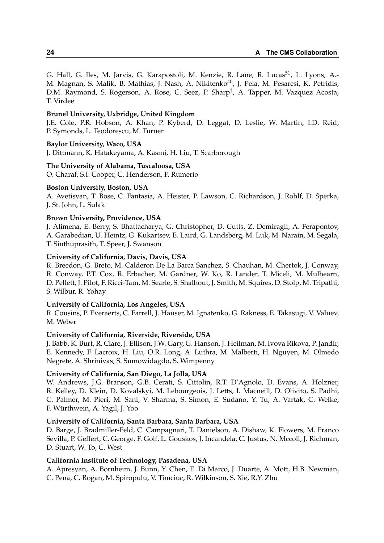G. Hall, G. Iles, M. Jarvis, G. Karapostoli, M. Kenzie, R. Lane, R. Lucas<sup>51</sup>, L. Lyons, A.-M. Magnan, S. Malik, B. Mathias, J. Nash, A. Nikitenko<sup>40</sup>, J. Pela, M. Pesaresi, K. Petridis, D.M. Raymond, S. Rogerson, A. Rose, C. Seez, P. Sharp<sup>†</sup>, A. Tapper, M. Vazquez Acosta, T. Virdee

#### **Brunel University, Uxbridge, United Kingdom**

J.E. Cole, P.R. Hobson, A. Khan, P. Kyberd, D. Leggat, D. Leslie, W. Martin, I.D. Reid, P. Symonds, L. Teodorescu, M. Turner

## **Baylor University, Waco, USA**

J. Dittmann, K. Hatakeyama, A. Kasmi, H. Liu, T. Scarborough

## **The University of Alabama, Tuscaloosa, USA**

O. Charaf, S.I. Cooper, C. Henderson, P. Rumerio

#### **Boston University, Boston, USA**

A. Avetisyan, T. Bose, C. Fantasia, A. Heister, P. Lawson, C. Richardson, J. Rohlf, D. Sperka, J. St. John, L. Sulak

## **Brown University, Providence, USA**

J. Alimena, E. Berry, S. Bhattacharya, G. Christopher, D. Cutts, Z. Demiragli, A. Ferapontov, A. Garabedian, U. Heintz, G. Kukartsev, E. Laird, G. Landsberg, M. Luk, M. Narain, M. Segala, T. Sinthuprasith, T. Speer, J. Swanson

#### **University of California, Davis, Davis, USA**

R. Breedon, G. Breto, M. Calderon De La Barca Sanchez, S. Chauhan, M. Chertok, J. Conway, R. Conway, P.T. Cox, R. Erbacher, M. Gardner, W. Ko, R. Lander, T. Miceli, M. Mulhearn, D. Pellett, J. Pilot, F. Ricci-Tam, M. Searle, S. Shalhout, J. Smith, M. Squires, D. Stolp, M. Tripathi, S. Wilbur, R. Yohay

## **University of California, Los Angeles, USA**

R. Cousins, P. Everaerts, C. Farrell, J. Hauser, M. Ignatenko, G. Rakness, E. Takasugi, V. Valuev, M. Weber

## **University of California, Riverside, Riverside, USA**

J. Babb, K. Burt, R. Clare, J. Ellison, J.W. Gary, G. Hanson, J. Heilman, M. Ivova Rikova, P. Jandir, E. Kennedy, F. Lacroix, H. Liu, O.R. Long, A. Luthra, M. Malberti, H. Nguyen, M. Olmedo Negrete, A. Shrinivas, S. Sumowidagdo, S. Wimpenny

## **University of California, San Diego, La Jolla, USA**

W. Andrews, J.G. Branson, G.B. Cerati, S. Cittolin, R.T. D'Agnolo, D. Evans, A. Holzner, R. Kelley, D. Klein, D. Kovalskyi, M. Lebourgeois, J. Letts, I. Macneill, D. Olivito, S. Padhi, C. Palmer, M. Pieri, M. Sani, V. Sharma, S. Simon, E. Sudano, Y. Tu, A. Vartak, C. Welke, F. Wurthwein, A. Yagil, J. Yoo ¨

## **University of California, Santa Barbara, Santa Barbara, USA**

D. Barge, J. Bradmiller-Feld, C. Campagnari, T. Danielson, A. Dishaw, K. Flowers, M. Franco Sevilla, P. Geffert, C. George, F. Golf, L. Gouskos, J. Incandela, C. Justus, N. Mccoll, J. Richman, D. Stuart, W. To, C. West

#### **California Institute of Technology, Pasadena, USA**

A. Apresyan, A. Bornheim, J. Bunn, Y. Chen, E. Di Marco, J. Duarte, A. Mott, H.B. Newman, C. Pena, C. Rogan, M. Spiropulu, V. Timciuc, R. Wilkinson, S. Xie, R.Y. Zhu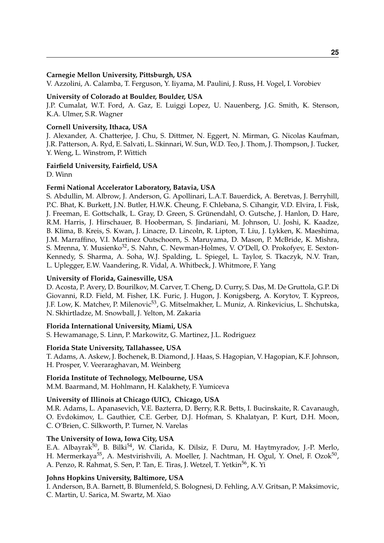#### **Carnegie Mellon University, Pittsburgh, USA**

V. Azzolini, A. Calamba, T. Ferguson, Y. Iiyama, M. Paulini, J. Russ, H. Vogel, I. Vorobiev

## **University of Colorado at Boulder, Boulder, USA**

J.P. Cumalat, W.T. Ford, A. Gaz, E. Luiggi Lopez, U. Nauenberg, J.G. Smith, K. Stenson, K.A. Ulmer, S.R. Wagner

#### **Cornell University, Ithaca, USA**

J. Alexander, A. Chatterjee, J. Chu, S. Dittmer, N. Eggert, N. Mirman, G. Nicolas Kaufman, J.R. Patterson, A. Ryd, E. Salvati, L. Skinnari, W. Sun, W.D. Teo, J. Thom, J. Thompson, J. Tucker, Y. Weng, L. Winstrom, P. Wittich

## **Fairfield University, Fairfield, USA**

D. Winn

#### **Fermi National Accelerator Laboratory, Batavia, USA**

S. Abdullin, M. Albrow, J. Anderson, G. Apollinari, L.A.T. Bauerdick, A. Beretvas, J. Berryhill, P.C. Bhat, K. Burkett, J.N. Butler, H.W.K. Cheung, F. Chlebana, S. Cihangir, V.D. Elvira, I. Fisk, J. Freeman, E. Gottschalk, L. Gray, D. Green, S. Grünendahl, O. Gutsche, J. Hanlon, D. Hare, R.M. Harris, J. Hirschauer, B. Hooberman, S. Jindariani, M. Johnson, U. Joshi, K. Kaadze, B. Klima, B. Kreis, S. Kwan, J. Linacre, D. Lincoln, R. Lipton, T. Liu, J. Lykken, K. Maeshima, J.M. Marraffino, V.I. Martinez Outschoorn, S. Maruyama, D. Mason, P. McBride, K. Mishra, S. Mrenna, Y. Musienko<sup>32</sup>, S. Nahn, C. Newman-Holmes, V. O'Dell, O. Prokofyev, E. Sexton-Kennedy, S. Sharma, A. Soha, W.J. Spalding, L. Spiegel, L. Taylor, S. Tkaczyk, N.V. Tran, L. Uplegger, E.W. Vaandering, R. Vidal, A. Whitbeck, J. Whitmore, F. Yang

#### **University of Florida, Gainesville, USA**

D. Acosta, P. Avery, D. Bourilkov, M. Carver, T. Cheng, D. Curry, S. Das, M. De Gruttola, G.P. Di Giovanni, R.D. Field, M. Fisher, I.K. Furic, J. Hugon, J. Konigsberg, A. Korytov, T. Kypreos, J.F. Low, K. Matchev, P. Milenovic<sup>53</sup>, G. Mitselmakher, L. Muniz, A. Rinkevicius, L. Shchutska, N. Skhirtladze, M. Snowball, J. Yelton, M. Zakaria

#### **Florida International University, Miami, USA**

S. Hewamanage, S. Linn, P. Markowitz, G. Martinez, J.L. Rodriguez

#### **Florida State University, Tallahassee, USA**

T. Adams, A. Askew, J. Bochenek, B. Diamond, J. Haas, S. Hagopian, V. Hagopian, K.F. Johnson, H. Prosper, V. Veeraraghavan, M. Weinberg

#### **Florida Institute of Technology, Melbourne, USA**

M.M. Baarmand, M. Hohlmann, H. Kalakhety, F. Yumiceva

## **University of Illinois at Chicago (UIC), Chicago, USA**

M.R. Adams, L. Apanasevich, V.E. Bazterra, D. Berry, R.R. Betts, I. Bucinskaite, R. Cavanaugh, O. Evdokimov, L. Gauthier, C.E. Gerber, D.J. Hofman, S. Khalatyan, P. Kurt, D.H. Moon, C. O'Brien, C. Silkworth, P. Turner, N. Varelas

## **The University of Iowa, Iowa City, USA**

E.A. Albayrak<sup>50</sup>, B. Bilki<sup>54</sup>, W. Clarida, K. Dilsiz, F. Duru, M. Haytmyradov, J.-P. Merlo, H. Mermerkaya<sup>55</sup>, A. Mestvirishvili, A. Moeller, J. Nachtman, H. Ogul, Y. Onel, F. Ozok<sup>50</sup>, A. Penzo, R. Rahmat, S. Sen, P. Tan, E. Tiras, J. Wetzel, T. Yetkin<sup>56</sup>, K. Yi

#### **Johns Hopkins University, Baltimore, USA**

I. Anderson, B.A. Barnett, B. Blumenfeld, S. Bolognesi, D. Fehling, A.V. Gritsan, P. Maksimovic, C. Martin, U. Sarica, M. Swartz, M. Xiao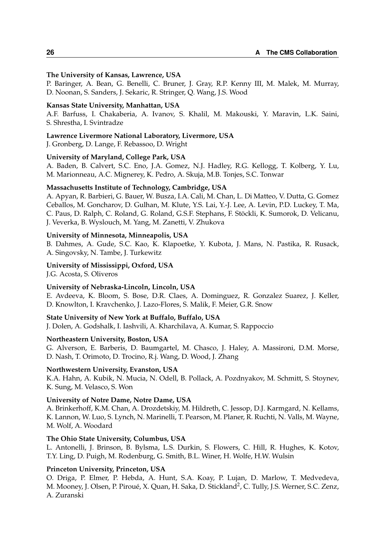#### **The University of Kansas, Lawrence, USA**

P. Baringer, A. Bean, G. Benelli, C. Bruner, J. Gray, R.P. Kenny III, M. Malek, M. Murray, D. Noonan, S. Sanders, J. Sekaric, R. Stringer, Q. Wang, J.S. Wood

#### **Kansas State University, Manhattan, USA**

A.F. Barfuss, I. Chakaberia, A. Ivanov, S. Khalil, M. Makouski, Y. Maravin, L.K. Saini, S. Shrestha, I. Svintradze

#### **Lawrence Livermore National Laboratory, Livermore, USA**

J. Gronberg, D. Lange, F. Rebassoo, D. Wright

#### **University of Maryland, College Park, USA**

A. Baden, B. Calvert, S.C. Eno, J.A. Gomez, N.J. Hadley, R.G. Kellogg, T. Kolberg, Y. Lu, M. Marionneau, A.C. Mignerey, K. Pedro, A. Skuja, M.B. Tonjes, S.C. Tonwar

## **Massachusetts Institute of Technology, Cambridge, USA**

A. Apyan, R. Barbieri, G. Bauer, W. Busza, I.A. Cali, M. Chan, L. Di Matteo, V. Dutta, G. Gomez Ceballos, M. Goncharov, D. Gulhan, M. Klute, Y.S. Lai, Y.-J. Lee, A. Levin, P.D. Luckey, T. Ma, C. Paus, D. Ralph, C. Roland, G. Roland, G.S.F. Stephans, F. Stockli, K. Sumorok, D. Velicanu, ¨ J. Veverka, B. Wyslouch, M. Yang, M. Zanetti, V. Zhukova

#### **University of Minnesota, Minneapolis, USA**

B. Dahmes, A. Gude, S.C. Kao, K. Klapoetke, Y. Kubota, J. Mans, N. Pastika, R. Rusack, A. Singovsky, N. Tambe, J. Turkewitz

#### **University of Mississippi, Oxford, USA**

J.G. Acosta, S. Oliveros

#### **University of Nebraska-Lincoln, Lincoln, USA**

E. Avdeeva, K. Bloom, S. Bose, D.R. Claes, A. Dominguez, R. Gonzalez Suarez, J. Keller, D. Knowlton, I. Kravchenko, J. Lazo-Flores, S. Malik, F. Meier, G.R. Snow

## **State University of New York at Buffalo, Buffalo, USA**

J. Dolen, A. Godshalk, I. Iashvili, A. Kharchilava, A. Kumar, S. Rappoccio

#### **Northeastern University, Boston, USA**

G. Alverson, E. Barberis, D. Baumgartel, M. Chasco, J. Haley, A. Massironi, D.M. Morse, D. Nash, T. Orimoto, D. Trocino, R.j. Wang, D. Wood, J. Zhang

#### **Northwestern University, Evanston, USA**

K.A. Hahn, A. Kubik, N. Mucia, N. Odell, B. Pollack, A. Pozdnyakov, M. Schmitt, S. Stoynev, K. Sung, M. Velasco, S. Won

#### **University of Notre Dame, Notre Dame, USA**

A. Brinkerhoff, K.M. Chan, A. Drozdetskiy, M. Hildreth, C. Jessop, D.J. Karmgard, N. Kellams, K. Lannon, W. Luo, S. Lynch, N. Marinelli, T. Pearson, M. Planer, R. Ruchti, N. Valls, M. Wayne, M. Wolf, A. Woodard

#### **The Ohio State University, Columbus, USA**

L. Antonelli, J. Brinson, B. Bylsma, L.S. Durkin, S. Flowers, C. Hill, R. Hughes, K. Kotov, T.Y. Ling, D. Puigh, M. Rodenburg, G. Smith, B.L. Winer, H. Wolfe, H.W. Wulsin

## **Princeton University, Princeton, USA**

O. Driga, P. Elmer, P. Hebda, A. Hunt, S.A. Koay, P. Lujan, D. Marlow, T. Medvedeva, M. Mooney, J. Olsen, P. Piroué, X. Quan, H. Saka, D. Stickland<sup>2</sup>, C. Tully, J.S. Werner, S.C. Zenz, A. Zuranski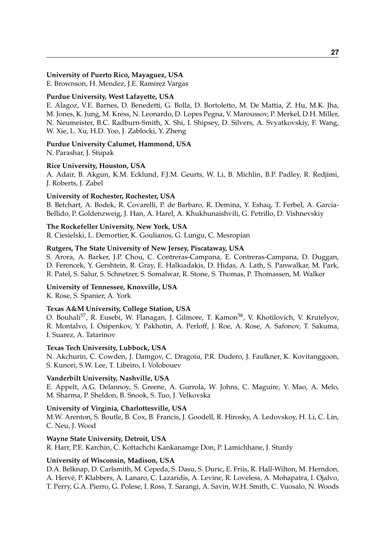## **University of Puerto Rico, Mayaguez, USA**

E. Brownson, H. Mendez, J.E. Ramirez Vargas

## **Purdue University, West Lafayette, USA**

E. Alagoz, V.E. Barnes, D. Benedetti, G. Bolla, D. Bortoletto, M. De Mattia, Z. Hu, M.K. Jha, M. Jones, K. Jung, M. Kress, N. Leonardo, D. Lopes Pegna, V. Maroussov, P. Merkel, D.H. Miller, N. Neumeister, B.C. Radburn-Smith, X. Shi, I. Shipsey, D. Silvers, A. Svyatkovskiy, F. Wang, W. Xie, L. Xu, H.D. Yoo, J. Zablocki, Y. Zheng

## **Purdue University Calumet, Hammond, USA**

N. Parashar, J. Stupak

#### **Rice University, Houston, USA**

A. Adair, B. Akgun, K.M. Ecklund, F.J.M. Geurts, W. Li, B. Michlin, B.P. Padley, R. Redjimi, J. Roberts, J. Zabel

## **University of Rochester, Rochester, USA**

B. Betchart, A. Bodek, R. Covarelli, P. de Barbaro, R. Demina, Y. Eshaq, T. Ferbel, A. Garcia-Bellido, P. Goldenzweig, J. Han, A. Harel, A. Khukhunaishvili, G. Petrillo, D. Vishnevskiy

#### **The Rockefeller University, New York, USA**

R. Ciesielski, L. Demortier, K. Goulianos, G. Lungu, C. Mesropian

#### **Rutgers, The State University of New Jersey, Piscataway, USA**

S. Arora, A. Barker, J.P. Chou, C. Contreras-Campana, E. Contreras-Campana, D. Duggan, D. Ferencek, Y. Gershtein, R. Gray, E. Halkiadakis, D. Hidas, A. Lath, S. Panwalkar, M. Park, R. Patel, S. Salur, S. Schnetzer, S. Somalwar, R. Stone, S. Thomas, P. Thomassen, M. Walker

#### **University of Tennessee, Knoxville, USA**

K. Rose, S. Spanier, A. York

## **Texas A&M University, College Station, USA**

O. Bouhali<sup>57</sup>, R. Eusebi, W. Flanagan, J. Gilmore, T. Kamon<sup>58</sup>, V. Khotilovich, V. Krutelyov, R. Montalvo, I. Osipenkov, Y. Pakhotin, A. Perloff, J. Roe, A. Rose, A. Safonov, T. Sakuma, I. Suarez, A. Tatarinov

#### **Texas Tech University, Lubbock, USA**

N. Akchurin, C. Cowden, J. Damgov, C. Dragoiu, P.R. Dudero, J. Faulkner, K. Kovitanggoon, S. Kunori, S.W. Lee, T. Libeiro, I. Volobouev

#### **Vanderbilt University, Nashville, USA**

E. Appelt, A.G. Delannoy, S. Greene, A. Gurrola, W. Johns, C. Maguire, Y. Mao, A. Melo, M. Sharma, P. Sheldon, B. Snook, S. Tuo, J. Velkovska

#### **University of Virginia, Charlottesville, USA**

M.W. Arenton, S. Boutle, B. Cox, B. Francis, J. Goodell, R. Hirosky, A. Ledovskoy, H. Li, C. Lin, C. Neu, J. Wood

#### **Wayne State University, Detroit, USA**

R. Harr, P.E. Karchin, C. Kottachchi Kankanamge Don, P. Lamichhane, J. Sturdy

#### **University of Wisconsin, Madison, USA**

D.A. Belknap, D. Carlsmith, M. Cepeda, S. Dasu, S. Duric, E. Friis, R. Hall-Wilton, M. Herndon, A. Hervé, P. Klabbers, A. Lanaro, C. Lazaridis, A. Levine, R. Loveless, A. Mohapatra, I. Ojalvo, T. Perry, G.A. Pierro, G. Polese, I. Ross, T. Sarangi, A. Savin, W.H. Smith, C. Vuosalo, N. Woods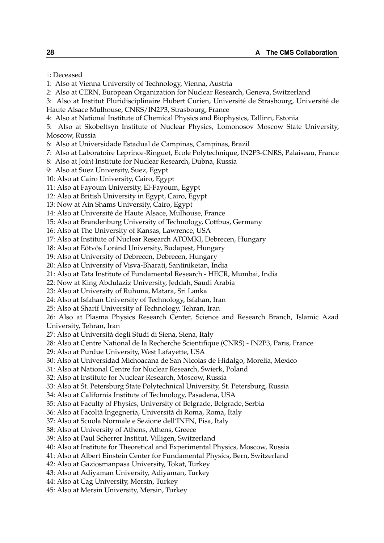- †: Deceased
- 1: Also at Vienna University of Technology, Vienna, Austria
- 2: Also at CERN, European Organization for Nuclear Research, Geneva, Switzerland
- 3: Also at Institut Pluridisciplinaire Hubert Curien, Université de Strasbourg, Université de Haute Alsace Mulhouse, CNRS/IN2P3, Strasbourg, France
- 4: Also at National Institute of Chemical Physics and Biophysics, Tallinn, Estonia
- 5: Also at Skobeltsyn Institute of Nuclear Physics, Lomonosov Moscow State University, Moscow, Russia
- 6: Also at Universidade Estadual de Campinas, Campinas, Brazil
- 7: Also at Laboratoire Leprince-Ringuet, Ecole Polytechnique, IN2P3-CNRS, Palaiseau, France
- 8: Also at Joint Institute for Nuclear Research, Dubna, Russia
- 9: Also at Suez University, Suez, Egypt
- 10: Also at Cairo University, Cairo, Egypt
- 11: Also at Fayoum University, El-Fayoum, Egypt
- 12: Also at British University in Egypt, Cairo, Egypt
- 13: Now at Ain Shams University, Cairo, Egypt
- 14: Also at Universite de Haute Alsace, Mulhouse, France ´
- 15: Also at Brandenburg University of Technology, Cottbus, Germany
- 16: Also at The University of Kansas, Lawrence, USA
- 17: Also at Institute of Nuclear Research ATOMKI, Debrecen, Hungary
- 18: Also at Eötvös Loránd University, Budapest, Hungary
- 19: Also at University of Debrecen, Debrecen, Hungary
- 20: Also at University of Visva-Bharati, Santiniketan, India
- 21: Also at Tata Institute of Fundamental Research HECR, Mumbai, India
- 22: Now at King Abdulaziz University, Jeddah, Saudi Arabia
- 23: Also at University of Ruhuna, Matara, Sri Lanka
- 24: Also at Isfahan University of Technology, Isfahan, Iran
- 25: Also at Sharif University of Technology, Tehran, Iran

26: Also at Plasma Physics Research Center, Science and Research Branch, Islamic Azad University, Tehran, Iran

- 27: Also at Universita degli Studi di Siena, Siena, Italy `
- 28: Also at Centre National de la Recherche Scientifique (CNRS) IN2P3, Paris, France
- 29: Also at Purdue University, West Lafayette, USA
- 30: Also at Universidad Michoacana de San Nicolas de Hidalgo, Morelia, Mexico
- 31: Also at National Centre for Nuclear Research, Swierk, Poland
- 32: Also at Institute for Nuclear Research, Moscow, Russia
- 33: Also at St. Petersburg State Polytechnical University, St. Petersburg, Russia
- 34: Also at California Institute of Technology, Pasadena, USA
- 35: Also at Faculty of Physics, University of Belgrade, Belgrade, Serbia
- 36: Also at Facoltà Ingegneria, Università di Roma, Roma, Italy
- 37: Also at Scuola Normale e Sezione dell'INFN, Pisa, Italy
- 38: Also at University of Athens, Athens, Greece
- 39: Also at Paul Scherrer Institut, Villigen, Switzerland
- 40: Also at Institute for Theoretical and Experimental Physics, Moscow, Russia
- 41: Also at Albert Einstein Center for Fundamental Physics, Bern, Switzerland
- 42: Also at Gaziosmanpasa University, Tokat, Turkey
- 43: Also at Adiyaman University, Adiyaman, Turkey
- 44: Also at Cag University, Mersin, Turkey
- 45: Also at Mersin University, Mersin, Turkey